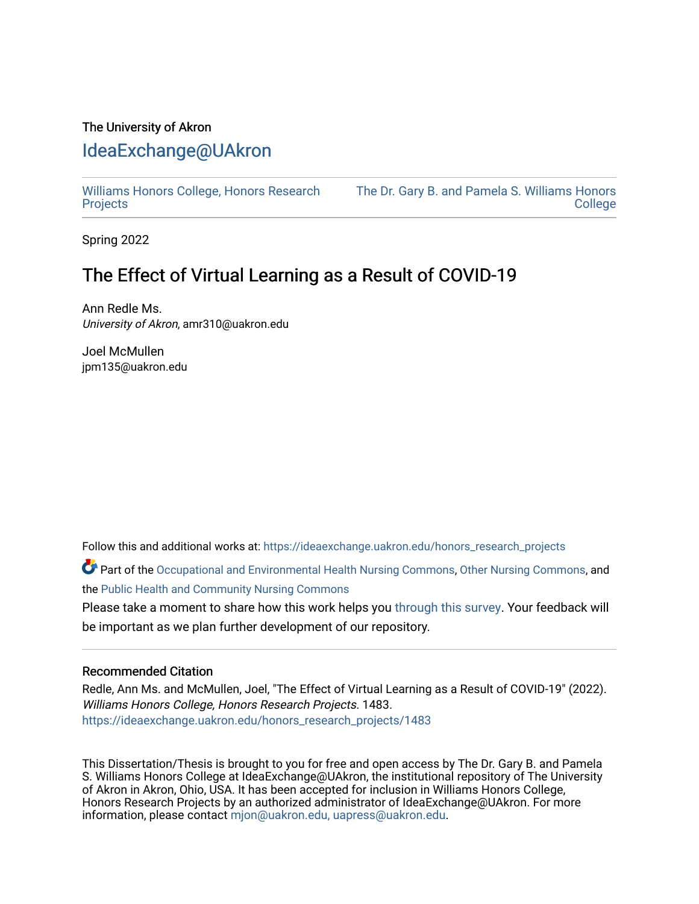## The University of Akron [IdeaExchange@UAkron](https://ideaexchange.uakron.edu/)

[Williams Honors College, Honors Research](https://ideaexchange.uakron.edu/honors_research_projects)  **[Projects](https://ideaexchange.uakron.edu/honors_research_projects)** 

[The Dr. Gary B. and Pamela S. Williams Honors](https://ideaexchange.uakron.edu/honorscollege_ideas)  **College** 

Spring 2022

# The Effect of Virtual Learning as a Result of COVID-19

Ann Redle Ms. University of Akron, amr310@uakron.edu

Joel McMullen jpm135@uakron.edu

Follow this and additional works at: [https://ideaexchange.uakron.edu/honors\\_research\\_projects](https://ideaexchange.uakron.edu/honors_research_projects?utm_source=ideaexchange.uakron.edu%2Fhonors_research_projects%2F1483&utm_medium=PDF&utm_campaign=PDFCoverPages) 

Part of the [Occupational and Environmental Health Nursing Commons,](http://network.bepress.com/hgg/discipline/728?utm_source=ideaexchange.uakron.edu%2Fhonors_research_projects%2F1483&utm_medium=PDF&utm_campaign=PDFCoverPages) [Other Nursing Commons](http://network.bepress.com/hgg/discipline/729?utm_source=ideaexchange.uakron.edu%2Fhonors_research_projects%2F1483&utm_medium=PDF&utm_campaign=PDFCoverPages), and the [Public Health and Community Nursing Commons](http://network.bepress.com/hgg/discipline/725?utm_source=ideaexchange.uakron.edu%2Fhonors_research_projects%2F1483&utm_medium=PDF&utm_campaign=PDFCoverPages)

Please take a moment to share how this work helps you [through this survey](http://survey.az1.qualtrics.com/SE/?SID=SV_eEVH54oiCbOw05f&URL=https://ideaexchange.uakron.edu/honors_research_projects/1483). Your feedback will be important as we plan further development of our repository.

## Recommended Citation

Redle, Ann Ms. and McMullen, Joel, "The Effect of Virtual Learning as a Result of COVID-19" (2022). Williams Honors College, Honors Research Projects. 1483. [https://ideaexchange.uakron.edu/honors\\_research\\_projects/1483](https://ideaexchange.uakron.edu/honors_research_projects/1483?utm_source=ideaexchange.uakron.edu%2Fhonors_research_projects%2F1483&utm_medium=PDF&utm_campaign=PDFCoverPages) 

This Dissertation/Thesis is brought to you for free and open access by The Dr. Gary B. and Pamela S. Williams Honors College at IdeaExchange@UAkron, the institutional repository of The University of Akron in Akron, Ohio, USA. It has been accepted for inclusion in Williams Honors College, Honors Research Projects by an authorized administrator of IdeaExchange@UAkron. For more information, please contact [mjon@uakron.edu, uapress@uakron.edu.](mailto:mjon@uakron.edu,%20uapress@uakron.edu)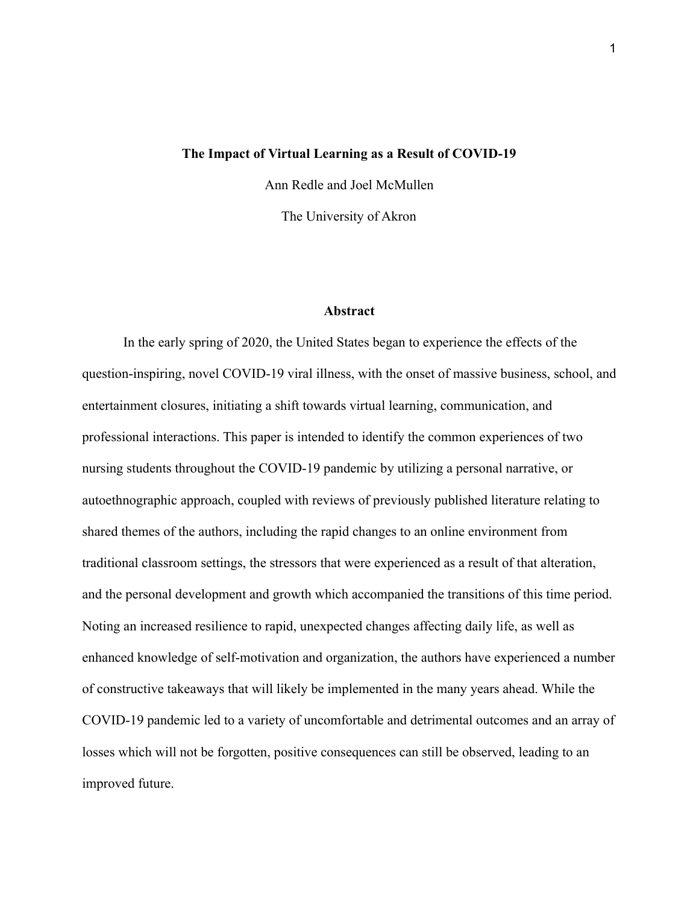#### **The Impact of Virtual Learning as a Result of COVID-19**

Ann Redle and Joel McMullen The University of Akron

#### **Abstract**

In the early spring of 2020, the United States began to experience the effects of the question-inspiring, novel COVID-19 viral illness, with the onset of massive business, school, and entertainment closures, initiating a shift towards virtual learning, communication, and professional interactions. This paper is intended to identify the common experiences of two nursing students throughout the COVID-19 pandemic by utilizing a personal narrative, or autoethnographic approach, coupled with reviews of previously published literature relating to shared themes of the authors, including the rapid changes to an online environment from traditional classroom settings, the stressors that were experienced as a result of that alteration, and the personal development and growth which accompanied the transitions of this time period. Noting an increased resilience to rapid, unexpected changes affecting daily life, as well as enhanced knowledge of self-motivation and organization, the authors have experienced a number of constructive takeaways that will likely be implemented in the many years ahead. While the COVID-19 pandemic led to a variety of uncomfortable and detrimental outcomes and an array of losses which will not be forgotten, positive consequences can still be observed, leading to an improved future.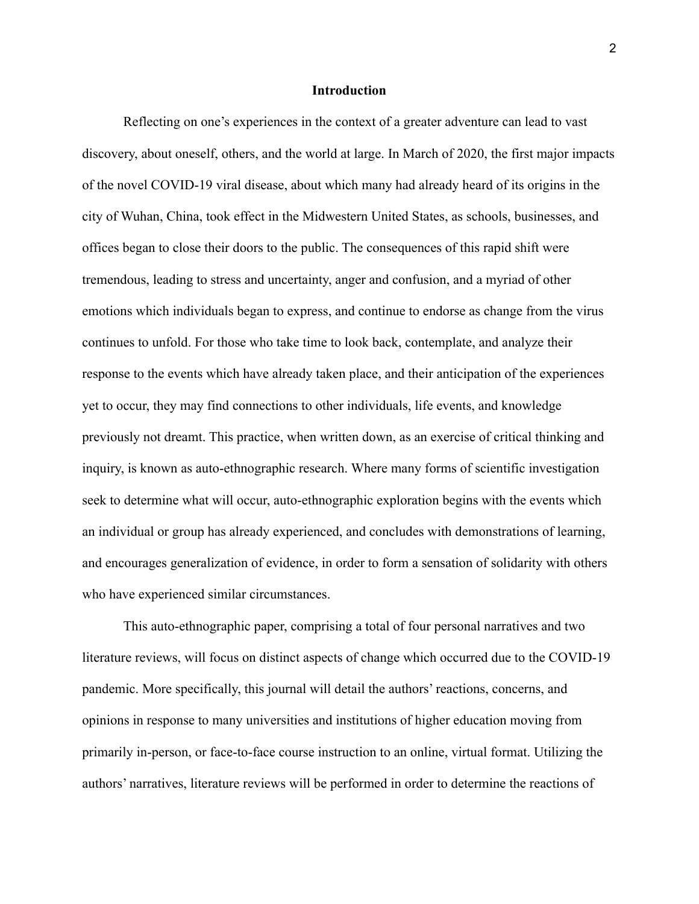#### **Introduction**

Reflecting on one's experiences in the context of a greater adventure can lead to vast discovery, about oneself, others, and the world at large. In March of 2020, the first major impacts of the novel COVID-19 viral disease, about which many had already heard of its origins in the city of Wuhan, China, took effect in the Midwestern United States, as schools, businesses, and offices began to close their doors to the public. The consequences of this rapid shift were tremendous, leading to stress and uncertainty, anger and confusion, and a myriad of other emotions which individuals began to express, and continue to endorse as change from the virus continues to unfold. For those who take time to look back, contemplate, and analyze their response to the events which have already taken place, and their anticipation of the experiences yet to occur, they may find connections to other individuals, life events, and knowledge previously not dreamt. This practice, when written down, as an exercise of critical thinking and inquiry, is known as auto-ethnographic research. Where many forms of scientific investigation seek to determine what will occur, auto-ethnographic exploration begins with the events which an individual or group has already experienced, and concludes with demonstrations of learning, and encourages generalization of evidence, in order to form a sensation of solidarity with others who have experienced similar circumstances.

This auto-ethnographic paper, comprising a total of four personal narratives and two literature reviews, will focus on distinct aspects of change which occurred due to the COVID-19 pandemic. More specifically, this journal will detail the authors' reactions, concerns, and opinions in response to many universities and institutions of higher education moving from primarily in-person, or face-to-face course instruction to an online, virtual format. Utilizing the authors' narratives, literature reviews will be performed in order to determine the reactions of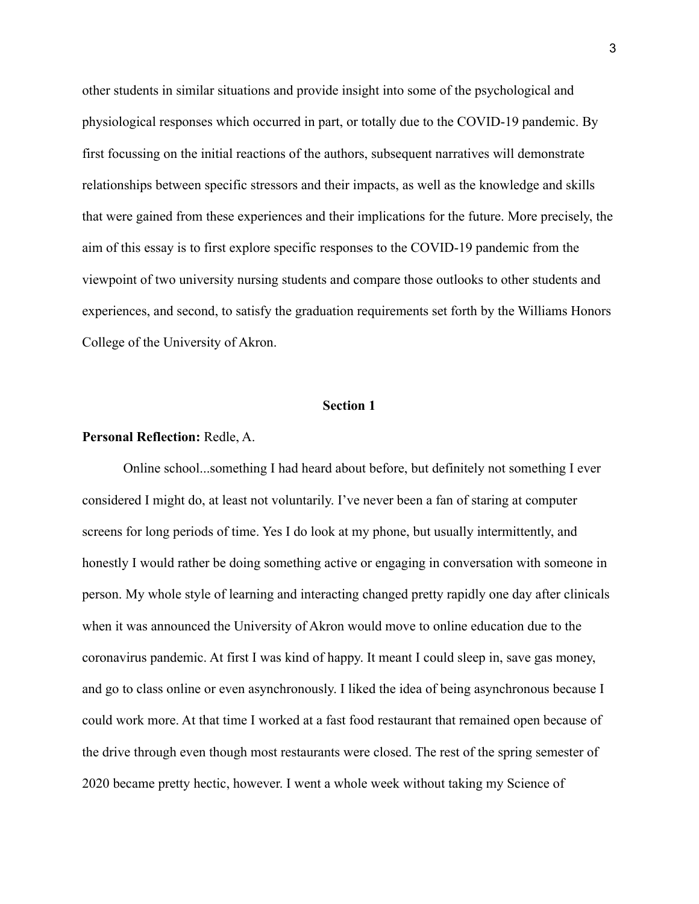other students in similar situations and provide insight into some of the psychological and physiological responses which occurred in part, or totally due to the COVID-19 pandemic. By first focussing on the initial reactions of the authors, subsequent narratives will demonstrate relationships between specific stressors and their impacts, as well as the knowledge and skills that were gained from these experiences and their implications for the future. More precisely, the aim of this essay is to first explore specific responses to the COVID-19 pandemic from the viewpoint of two university nursing students and compare those outlooks to other students and experiences, and second, to satisfy the graduation requirements set forth by the Williams Honors College of the University of Akron.

#### **Section 1**

## **Personal Reflection:** Redle, A.

Online school...something I had heard about before, but definitely not something I ever considered I might do, at least not voluntarily. I've never been a fan of staring at computer screens for long periods of time. Yes I do look at my phone, but usually intermittently, and honestly I would rather be doing something active or engaging in conversation with someone in person. My whole style of learning and interacting changed pretty rapidly one day after clinicals when it was announced the University of Akron would move to online education due to the coronavirus pandemic. At first I was kind of happy. It meant I could sleep in, save gas money, and go to class online or even asynchronously. I liked the idea of being asynchronous because I could work more. At that time I worked at a fast food restaurant that remained open because of the drive through even though most restaurants were closed. The rest of the spring semester of 2020 became pretty hectic, however. I went a whole week without taking my Science of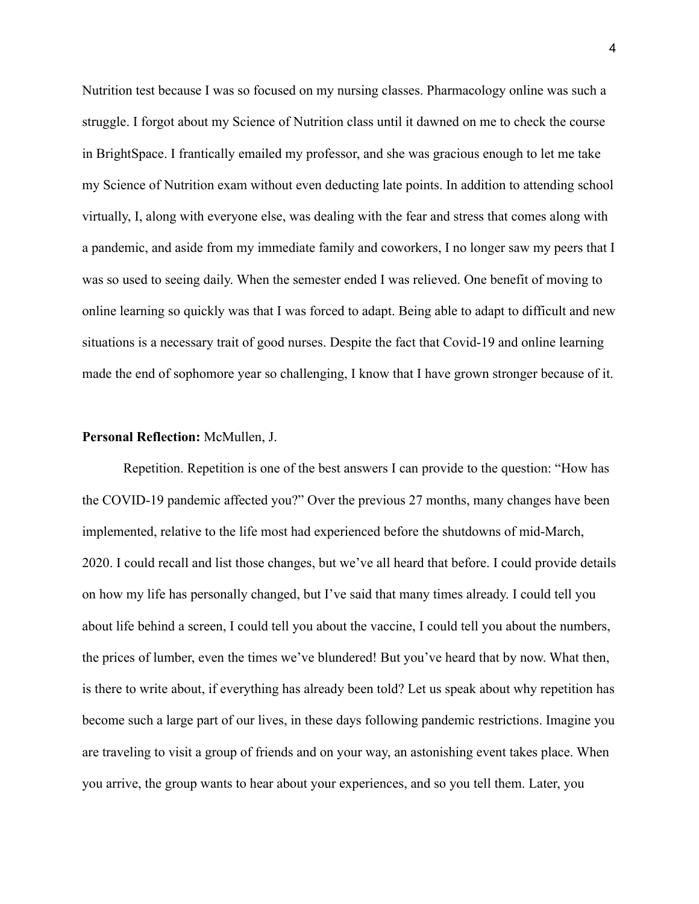Nutrition test because I was so focused on my nursing classes. Pharmacology online was such a struggle. I forgot about my Science of Nutrition class until it dawned on me to check the course in BrightSpace. I frantically emailed my professor, and she was gracious enough to let me take my Science of Nutrition exam without even deducting late points. In addition to attending school virtually, I, along with everyone else, was dealing with the fear and stress that comes along with a pandemic, and aside from my immediate family and coworkers, I no longer saw my peers that I was so used to seeing daily. When the semester ended I was relieved. One benefit of moving to online learning so quickly was that I was forced to adapt. Being able to adapt to difficult and new situations is a necessary trait of good nurses. Despite the fact that Covid-19 and online learning made the end of sophomore year so challenging, I know that I have grown stronger because of it.

#### **Personal Reflection:** McMullen, J.

Repetition. Repetition is one of the best answers I can provide to the question: "How has the COVID-19 pandemic affected you?" Over the previous 27 months, many changes have been implemented, relative to the life most had experienced before the shutdowns of mid-March, 2020. I could recall and list those changes, but we've all heard that before. I could provide details on how my life has personally changed, but I've said that many times already. I could tell you about life behind a screen, I could tell you about the vaccine, I could tell you about the numbers, the prices of lumber, even the times we've blundered! But you've heard that by now. What then, is there to write about, if everything has already been told? Let us speak about why repetition has become such a large part of our lives, in these days following pandemic restrictions. Imagine you are traveling to visit a group of friends and on your way, an astonishing event takes place. When you arrive, the group wants to hear about your experiences, and so you tell them. Later, you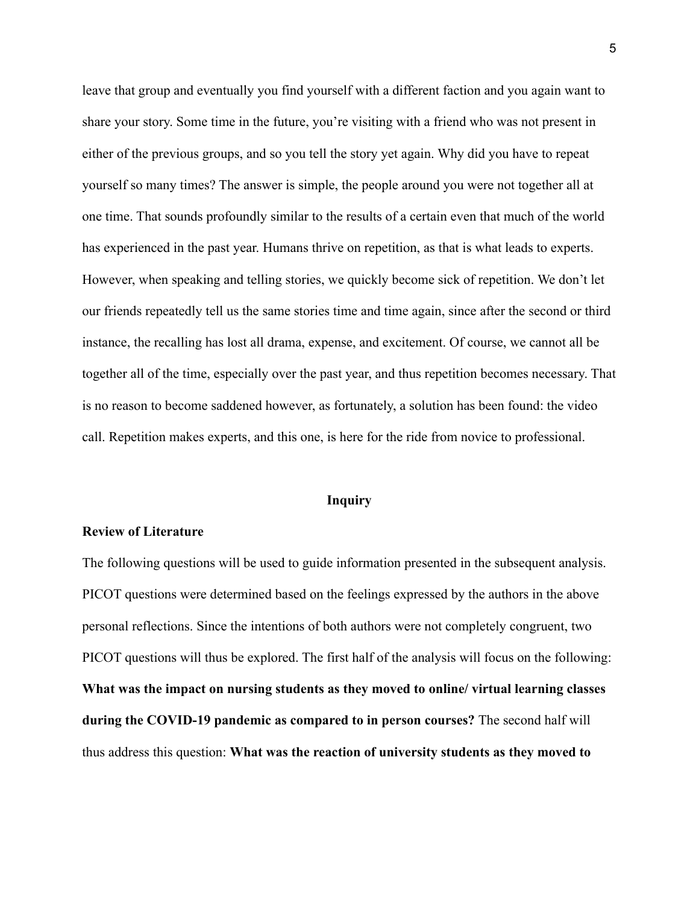leave that group and eventually you find yourself with a different faction and you again want to share your story. Some time in the future, you're visiting with a friend who was not present in either of the previous groups, and so you tell the story yet again. Why did you have to repeat yourself so many times? The answer is simple, the people around you were not together all at one time. That sounds profoundly similar to the results of a certain even that much of the world has experienced in the past year. Humans thrive on repetition, as that is what leads to experts. However, when speaking and telling stories, we quickly become sick of repetition. We don't let our friends repeatedly tell us the same stories time and time again, since after the second or third instance, the recalling has lost all drama, expense, and excitement. Of course, we cannot all be together all of the time, especially over the past year, and thus repetition becomes necessary. That is no reason to become saddened however, as fortunately, a solution has been found: the video call. Repetition makes experts, and this one, is here for the ride from novice to professional.

## **Inquiry**

## **Review of Literature**

The following questions will be used to guide information presented in the subsequent analysis. PICOT questions were determined based on the feelings expressed by the authors in the above personal reflections. Since the intentions of both authors were not completely congruent, two PICOT questions will thus be explored. The first half of the analysis will focus on the following: **What was the impact on nursing students as they moved to online/ virtual learning classes during the COVID-19 pandemic as compared to in person courses?** The second half will thus address this question: **What was the reaction of university students as they moved to**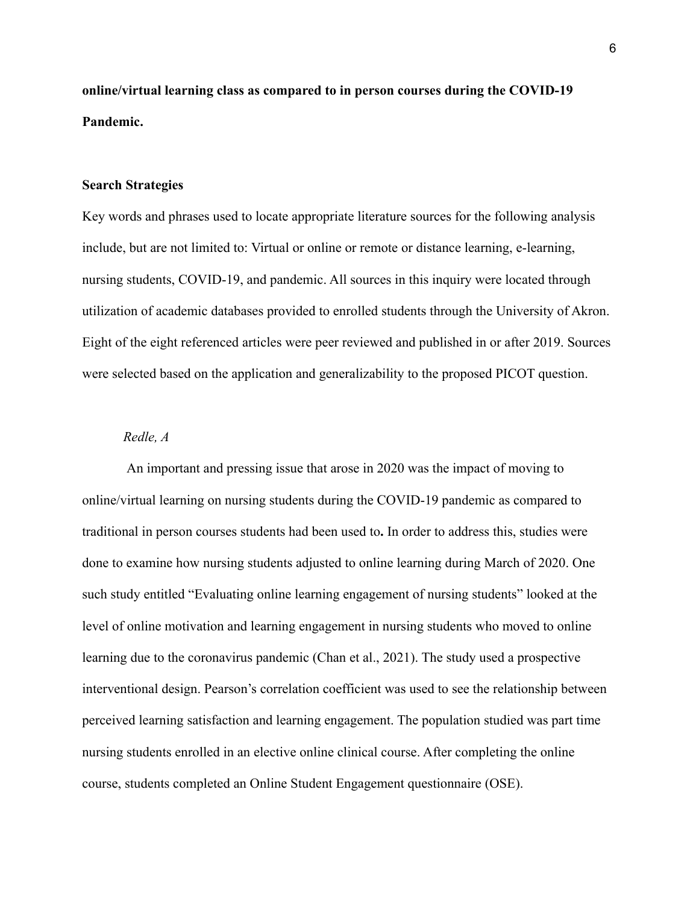**online/virtual learning class as compared to in person courses during the COVID-19 Pandemic.**

## **Search Strategies**

Key words and phrases used to locate appropriate literature sources for the following analysis include, but are not limited to: Virtual or online or remote or distance learning, e-learning, nursing students, COVID-19, and pandemic. All sources in this inquiry were located through utilization of academic databases provided to enrolled students through the University of Akron. Eight of the eight referenced articles were peer reviewed and published in or after 2019. Sources were selected based on the application and generalizability to the proposed PICOT question.

## *Redle, A*

An important and pressing issue that arose in 2020 was the impact of moving to online/virtual learning on nursing students during the COVID-19 pandemic as compared to traditional in person courses students had been used to**.** In order to address this, studies were done to examine how nursing students adjusted to online learning during March of 2020. One such study entitled "Evaluating online learning engagement of nursing students" looked at the level of online motivation and learning engagement in nursing students who moved to online learning due to the coronavirus pandemic (Chan et al., 2021). The study used a prospective interventional design. Pearson's correlation coefficient was used to see the relationship between perceived learning satisfaction and learning engagement. The population studied was part time nursing students enrolled in an elective online clinical course. After completing the online course, students completed an Online Student Engagement questionnaire (OSE).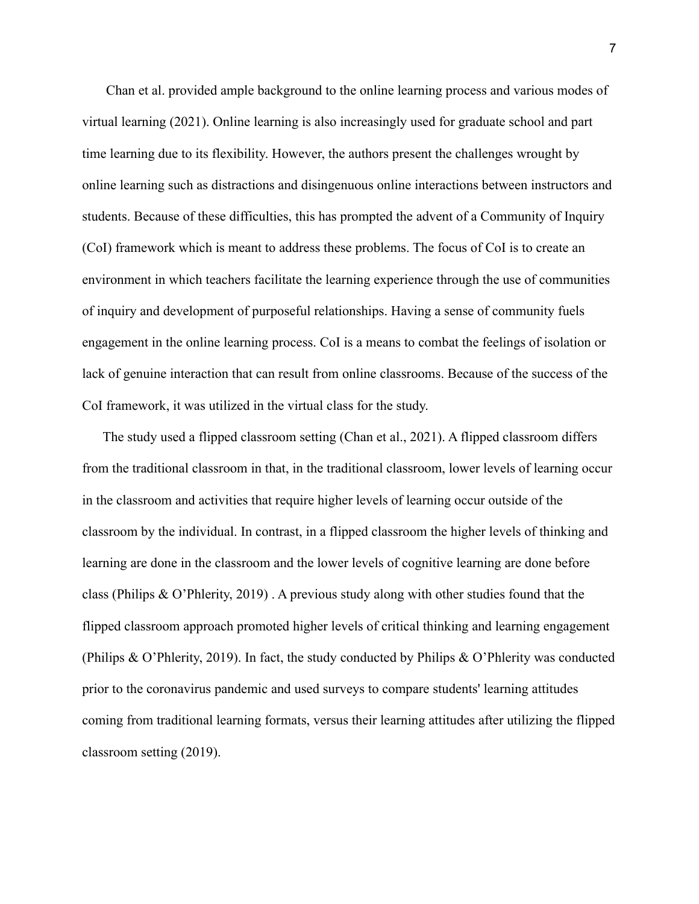Chan et al. provided ample background to the online learning process and various modes of virtual learning (2021). Online learning is also increasingly used for graduate school and part time learning due to its flexibility. However, the authors present the challenges wrought by online learning such as distractions and disingenuous online interactions between instructors and students. Because of these difficulties, this has prompted the advent of a Community of Inquiry (CoI) framework which is meant to address these problems. The focus of CoI is to create an environment in which teachers facilitate the learning experience through the use of communities of inquiry and development of purposeful relationships. Having a sense of community fuels engagement in the online learning process. CoI is a means to combat the feelings of isolation or lack of genuine interaction that can result from online classrooms. Because of the success of the CoI framework, it was utilized in the virtual class for the study.

The study used a flipped classroom setting (Chan et al., 2021). A flipped classroom differs from the traditional classroom in that, in the traditional classroom, lower levels of learning occur in the classroom and activities that require higher levels of learning occur outside of the classroom by the individual. In contrast, in a flipped classroom the higher levels of thinking and learning are done in the classroom and the lower levels of cognitive learning are done before class (Philips & O'Phlerity, 2019) . A previous study along with other studies found that the flipped classroom approach promoted higher levels of critical thinking and learning engagement (Philips & O'Phlerity, 2019). In fact, the study conducted by Philips & O'Phlerity was conducted prior to the coronavirus pandemic and used surveys to compare students' learning attitudes coming from traditional learning formats, versus their learning attitudes after utilizing the flipped classroom setting (2019).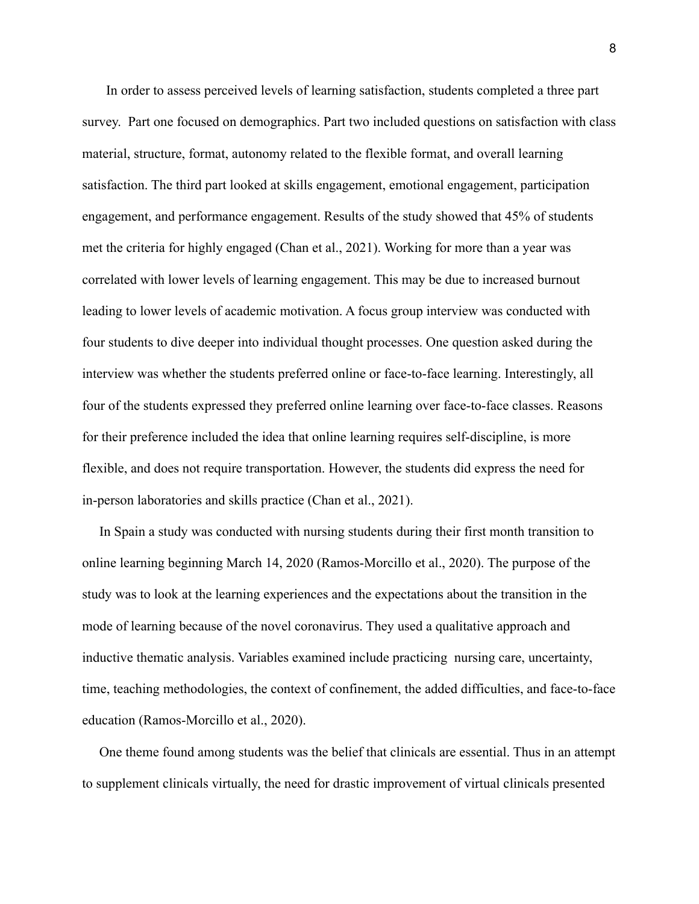In order to assess perceived levels of learning satisfaction, students completed a three part survey. Part one focused on demographics. Part two included questions on satisfaction with class material, structure, format, autonomy related to the flexible format, and overall learning satisfaction. The third part looked at skills engagement, emotional engagement, participation engagement, and performance engagement. Results of the study showed that 45% of students met the criteria for highly engaged (Chan et al., 2021). Working for more than a year was correlated with lower levels of learning engagement. This may be due to increased burnout leading to lower levels of academic motivation. A focus group interview was conducted with four students to dive deeper into individual thought processes. One question asked during the interview was whether the students preferred online or face-to-face learning. Interestingly, all four of the students expressed they preferred online learning over face-to-face classes. Reasons for their preference included the idea that online learning requires self-discipline, is more flexible, and does not require transportation. However, the students did express the need for in-person laboratories and skills practice (Chan et al., 2021).

In Spain a study was conducted with nursing students during their first month transition to online learning beginning March 14, 2020 (Ramos-Morcillo et al., 2020). The purpose of the study was to look at the learning experiences and the expectations about the transition in the mode of learning because of the novel coronavirus. They used a qualitative approach and inductive thematic analysis. Variables examined include practicing nursing care, uncertainty, time, teaching methodologies, the context of confinement, the added difficulties, and face-to-face education (Ramos-Morcillo et al., 2020).

One theme found among students was the belief that clinicals are essential. Thus in an attempt to supplement clinicals virtually, the need for drastic improvement of virtual clinicals presented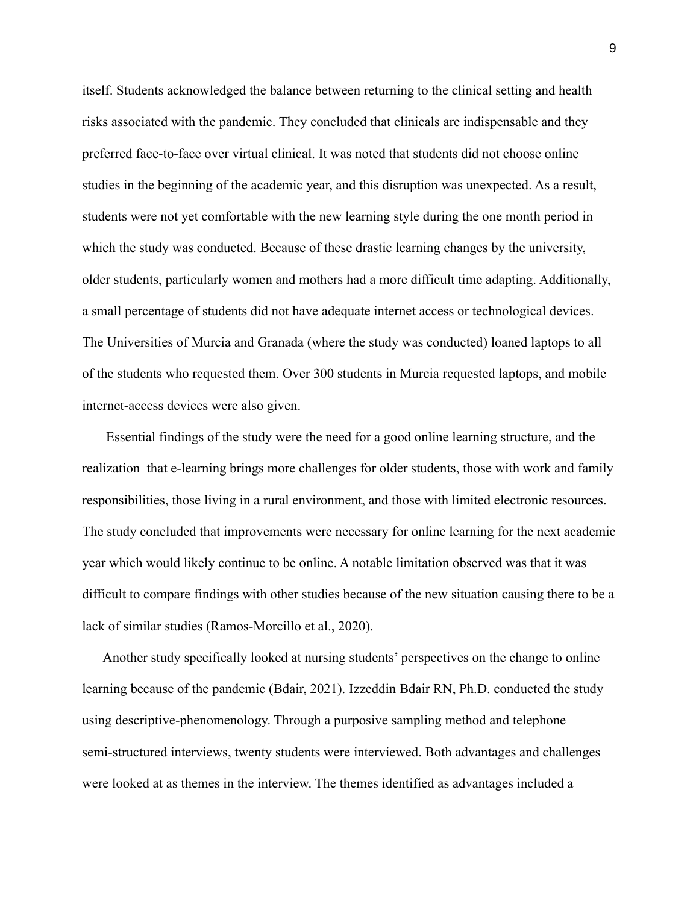itself. Students acknowledged the balance between returning to the clinical setting and health risks associated with the pandemic. They concluded that clinicals are indispensable and they preferred face-to-face over virtual clinical. It was noted that students did not choose online studies in the beginning of the academic year, and this disruption was unexpected. As a result, students were not yet comfortable with the new learning style during the one month period in which the study was conducted. Because of these drastic learning changes by the university, older students, particularly women and mothers had a more difficult time adapting. Additionally, a small percentage of students did not have adequate internet access or technological devices. The Universities of Murcia and Granada (where the study was conducted) loaned laptops to all of the students who requested them. Over 300 students in Murcia requested laptops, and mobile internet-access devices were also given.

Essential findings of the study were the need for a good online learning structure, and the realization that e-learning brings more challenges for older students, those with work and family responsibilities, those living in a rural environment, and those with limited electronic resources. The study concluded that improvements were necessary for online learning for the next academic year which would likely continue to be online. A notable limitation observed was that it was difficult to compare findings with other studies because of the new situation causing there to be a lack of similar studies (Ramos-Morcillo et al., 2020).

Another study specifically looked at nursing students' perspectives on the change to online learning because of the pandemic (Bdair, 2021). Izzeddin Bdair RN, Ph.D. conducted the study using descriptive-phenomenology. Through a purposive sampling method and telephone semi-structured interviews, twenty students were interviewed. Both advantages and challenges were looked at as themes in the interview. The themes identified as advantages included a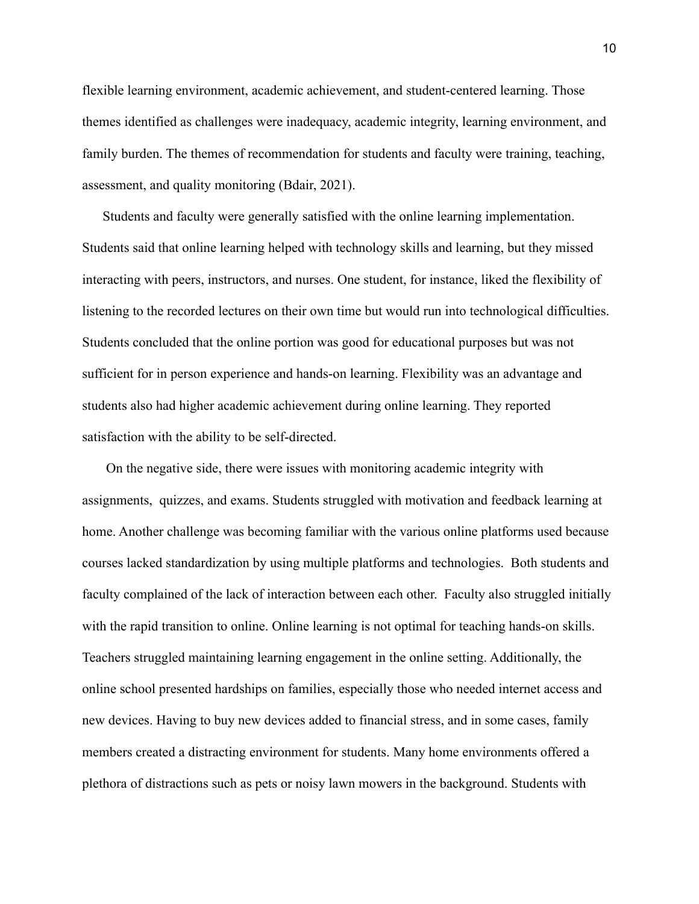flexible learning environment, academic achievement, and student-centered learning. Those themes identified as challenges were inadequacy, academic integrity, learning environment, and family burden. The themes of recommendation for students and faculty were training, teaching, assessment, and quality monitoring (Bdair, 2021).

Students and faculty were generally satisfied with the online learning implementation. Students said that online learning helped with technology skills and learning, but they missed interacting with peers, instructors, and nurses. One student, for instance, liked the flexibility of listening to the recorded lectures on their own time but would run into technological difficulties. Students concluded that the online portion was good for educational purposes but was not sufficient for in person experience and hands-on learning. Flexibility was an advantage and students also had higher academic achievement during online learning. They reported satisfaction with the ability to be self-directed.

On the negative side, there were issues with monitoring academic integrity with assignments, quizzes, and exams. Students struggled with motivation and feedback learning at home. Another challenge was becoming familiar with the various online platforms used because courses lacked standardization by using multiple platforms and technologies. Both students and faculty complained of the lack of interaction between each other. Faculty also struggled initially with the rapid transition to online. Online learning is not optimal for teaching hands-on skills. Teachers struggled maintaining learning engagement in the online setting. Additionally, the online school presented hardships on families, especially those who needed internet access and new devices. Having to buy new devices added to financial stress, and in some cases, family members created a distracting environment for students. Many home environments offered a plethora of distractions such as pets or noisy lawn mowers in the background. Students with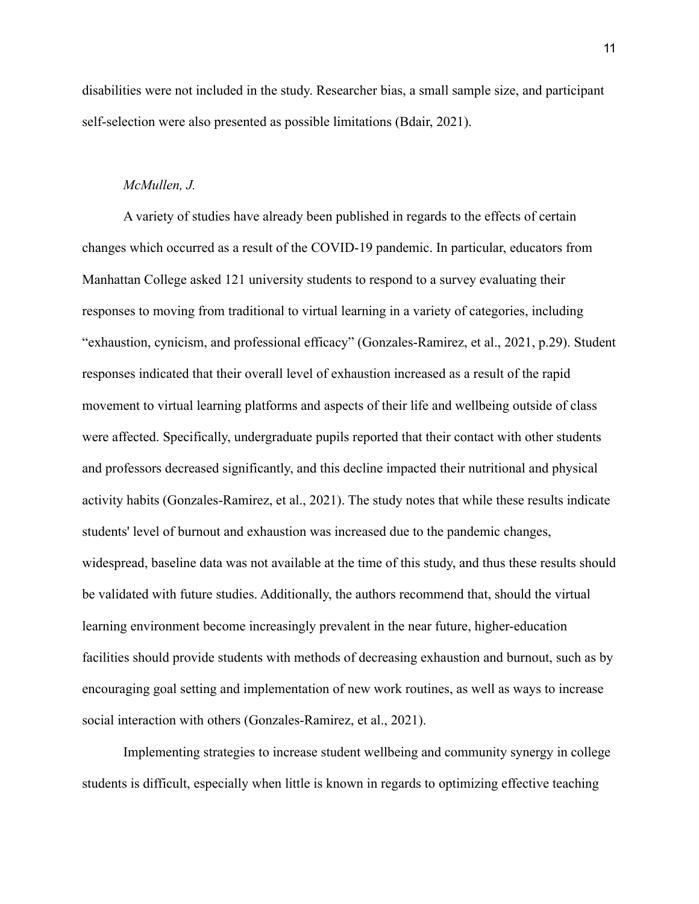disabilities were not included in the study. Researcher bias, a small sample size, and participant self-selection were also presented as possible limitations (Bdair, 2021).

## *McMullen, J.*

A variety of studies have already been published in regards to the effects of certain changes which occurred as a result of the COVID-19 pandemic. In particular, educators from Manhattan College asked 121 university students to respond to a survey evaluating their responses to moving from traditional to virtual learning in a variety of categories, including "exhaustion, cynicism, and professional efficacy" (Gonzales-Ramirez, et al., 2021, p.29). Student responses indicated that their overall level of exhaustion increased as a result of the rapid movement to virtual learning platforms and aspects of their life and wellbeing outside of class were affected. Specifically, undergraduate pupils reported that their contact with other students and professors decreased significantly, and this decline impacted their nutritional and physical activity habits (Gonzales-Ramirez, et al., 2021). The study notes that while these results indicate students' level of burnout and exhaustion was increased due to the pandemic changes, widespread, baseline data was not available at the time of this study, and thus these results should be validated with future studies. Additionally, the authors recommend that, should the virtual learning environment become increasingly prevalent in the near future, higher-education facilities should provide students with methods of decreasing exhaustion and burnout, such as by encouraging goal setting and implementation of new work routines, as well as ways to increase social interaction with others (Gonzales-Ramirez, et al., 2021).

Implementing strategies to increase student wellbeing and community synergy in college students is difficult, especially when little is known in regards to optimizing effective teaching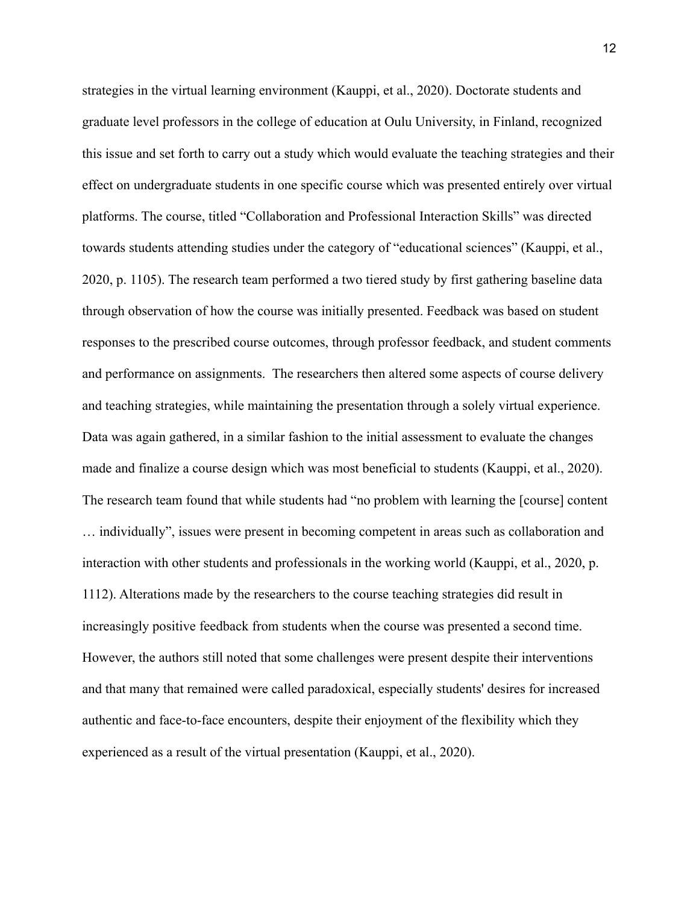strategies in the virtual learning environment (Kauppi, et al., 2020). Doctorate students and graduate level professors in the college of education at Oulu University, in Finland, recognized this issue and set forth to carry out a study which would evaluate the teaching strategies and their effect on undergraduate students in one specific course which was presented entirely over virtual platforms. The course, titled "Collaboration and Professional Interaction Skills" was directed towards students attending studies under the category of "educational sciences" (Kauppi, et al., 2020, p. 1105). The research team performed a two tiered study by first gathering baseline data through observation of how the course was initially presented. Feedback was based on student responses to the prescribed course outcomes, through professor feedback, and student comments and performance on assignments. The researchers then altered some aspects of course delivery and teaching strategies, while maintaining the presentation through a solely virtual experience. Data was again gathered, in a similar fashion to the initial assessment to evaluate the changes made and finalize a course design which was most beneficial to students (Kauppi, et al., 2020). The research team found that while students had "no problem with learning the [course] content … individually", issues were present in becoming competent in areas such as collaboration and interaction with other students and professionals in the working world (Kauppi, et al., 2020, p. 1112). Alterations made by the researchers to the course teaching strategies did result in increasingly positive feedback from students when the course was presented a second time. However, the authors still noted that some challenges were present despite their interventions and that many that remained were called paradoxical, especially students' desires for increased authentic and face-to-face encounters, despite their enjoyment of the flexibility which they experienced as a result of the virtual presentation (Kauppi, et al., 2020).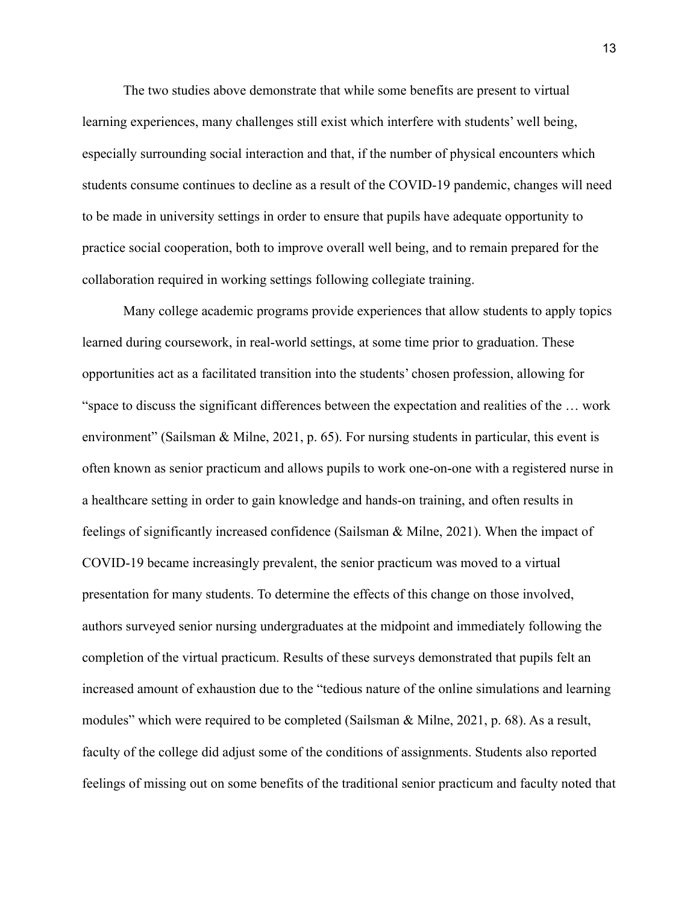The two studies above demonstrate that while some benefits are present to virtual learning experiences, many challenges still exist which interfere with students' well being, especially surrounding social interaction and that, if the number of physical encounters which students consume continues to decline as a result of the COVID-19 pandemic, changes will need to be made in university settings in order to ensure that pupils have adequate opportunity to practice social cooperation, both to improve overall well being, and to remain prepared for the collaboration required in working settings following collegiate training.

Many college academic programs provide experiences that allow students to apply topics learned during coursework, in real-world settings, at some time prior to graduation. These opportunities act as a facilitated transition into the students' chosen profession, allowing for "space to discuss the significant differences between the expectation and realities of the … work environment" (Sailsman & Milne, 2021, p. 65). For nursing students in particular, this event is often known as senior practicum and allows pupils to work one-on-one with a registered nurse in a healthcare setting in order to gain knowledge and hands-on training, and often results in feelings of significantly increased confidence (Sailsman & Milne, 2021). When the impact of COVID-19 became increasingly prevalent, the senior practicum was moved to a virtual presentation for many students. To determine the effects of this change on those involved, authors surveyed senior nursing undergraduates at the midpoint and immediately following the completion of the virtual practicum. Results of these surveys demonstrated that pupils felt an increased amount of exhaustion due to the "tedious nature of the online simulations and learning modules" which were required to be completed (Sailsman & Milne, 2021, p. 68). As a result, faculty of the college did adjust some of the conditions of assignments. Students also reported feelings of missing out on some benefits of the traditional senior practicum and faculty noted that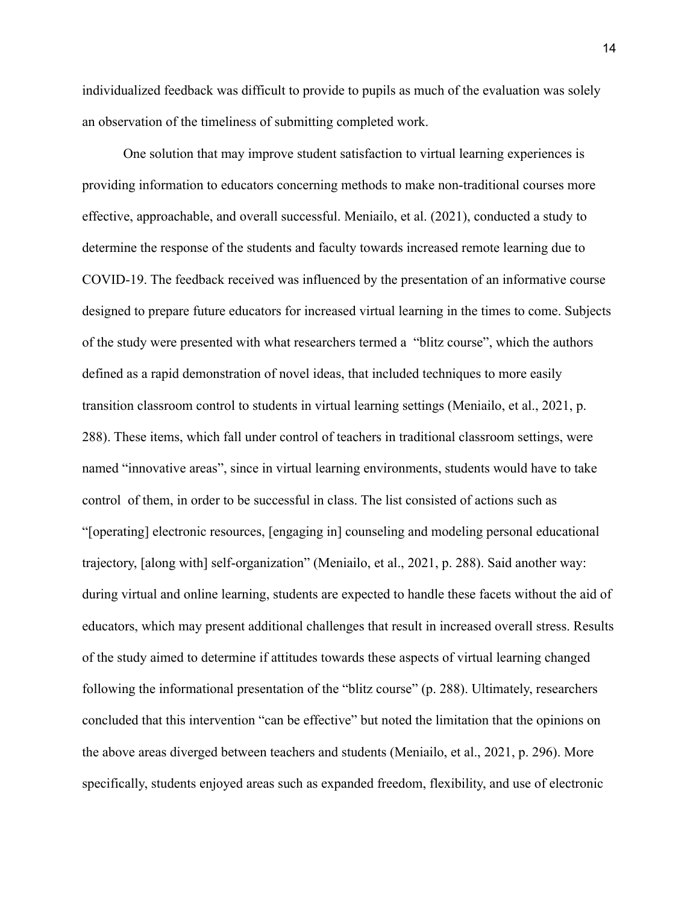individualized feedback was difficult to provide to pupils as much of the evaluation was solely an observation of the timeliness of submitting completed work.

One solution that may improve student satisfaction to virtual learning experiences is providing information to educators concerning methods to make non-traditional courses more effective, approachable, and overall successful. Meniailo, et al. (2021), conducted a study to determine the response of the students and faculty towards increased remote learning due to COVID-19. The feedback received was influenced by the presentation of an informative course designed to prepare future educators for increased virtual learning in the times to come. Subjects of the study were presented with what researchers termed a "blitz course", which the authors defined as a rapid demonstration of novel ideas, that included techniques to more easily transition classroom control to students in virtual learning settings (Meniailo, et al., 2021, p. 288). These items, which fall under control of teachers in traditional classroom settings, were named "innovative areas", since in virtual learning environments, students would have to take control of them, in order to be successful in class. The list consisted of actions such as "[operating] electronic resources, [engaging in] counseling and modeling personal educational trajectory, [along with] self-organization" (Meniailo, et al., 2021, p. 288). Said another way: during virtual and online learning, students are expected to handle these facets without the aid of educators, which may present additional challenges that result in increased overall stress. Results of the study aimed to determine if attitudes towards these aspects of virtual learning changed following the informational presentation of the "blitz course" (p. 288). Ultimately, researchers concluded that this intervention "can be effective" but noted the limitation that the opinions on the above areas diverged between teachers and students (Meniailo, et al., 2021, p. 296). More specifically, students enjoyed areas such as expanded freedom, flexibility, and use of electronic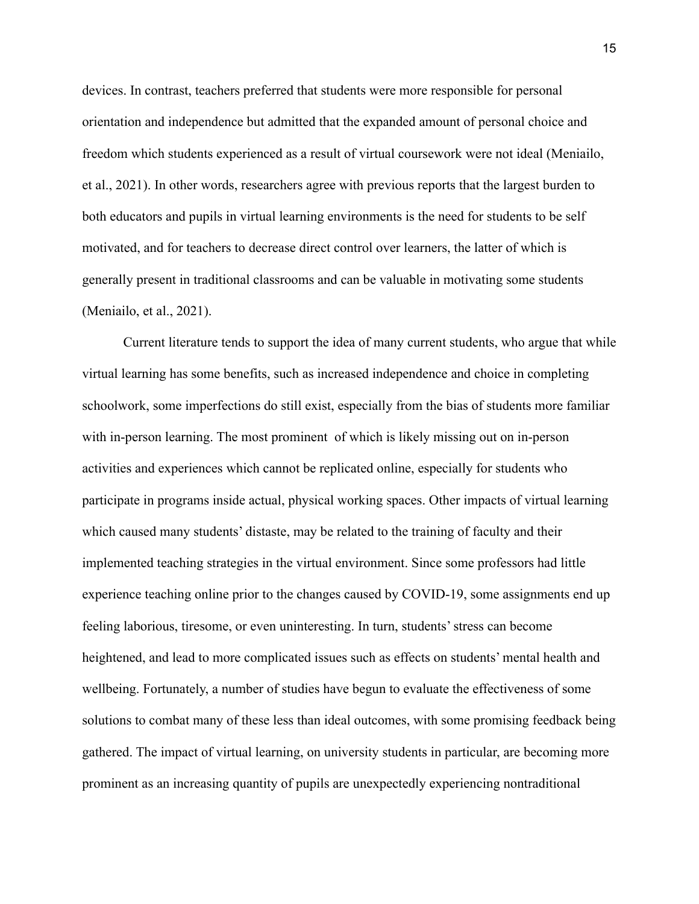devices. In contrast, teachers preferred that students were more responsible for personal orientation and independence but admitted that the expanded amount of personal choice and freedom which students experienced as a result of virtual coursework were not ideal (Meniailo, et al., 2021). In other words, researchers agree with previous reports that the largest burden to both educators and pupils in virtual learning environments is the need for students to be self motivated, and for teachers to decrease direct control over learners, the latter of which is generally present in traditional classrooms and can be valuable in motivating some students (Meniailo, et al., 2021).

Current literature tends to support the idea of many current students, who argue that while virtual learning has some benefits, such as increased independence and choice in completing schoolwork, some imperfections do still exist, especially from the bias of students more familiar with in-person learning. The most prominent of which is likely missing out on in-person activities and experiences which cannot be replicated online, especially for students who participate in programs inside actual, physical working spaces. Other impacts of virtual learning which caused many students' distaste, may be related to the training of faculty and their implemented teaching strategies in the virtual environment. Since some professors had little experience teaching online prior to the changes caused by COVID-19, some assignments end up feeling laborious, tiresome, or even uninteresting. In turn, students' stress can become heightened, and lead to more complicated issues such as effects on students' mental health and wellbeing. Fortunately, a number of studies have begun to evaluate the effectiveness of some solutions to combat many of these less than ideal outcomes, with some promising feedback being gathered. The impact of virtual learning, on university students in particular, are becoming more prominent as an increasing quantity of pupils are unexpectedly experiencing nontraditional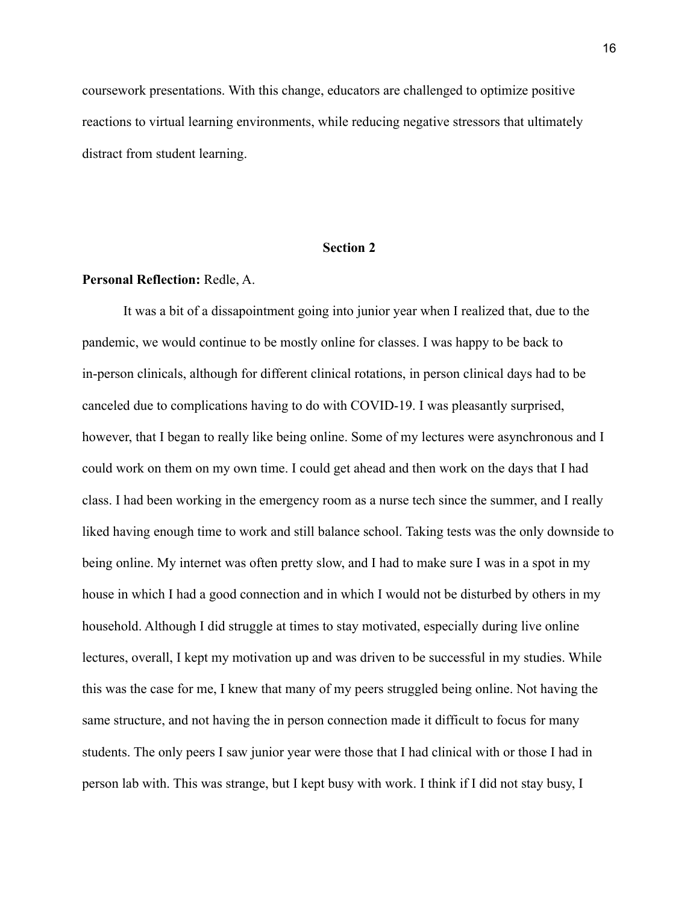coursework presentations. With this change, educators are challenged to optimize positive reactions to virtual learning environments, while reducing negative stressors that ultimately distract from student learning.

## **Section 2**

## **Personal Reflection:** Redle, A.

It was a bit of a dissapointment going into junior year when I realized that, due to the pandemic, we would continue to be mostly online for classes. I was happy to be back to in-person clinicals, although for different clinical rotations, in person clinical days had to be canceled due to complications having to do with COVID-19. I was pleasantly surprised, however, that I began to really like being online. Some of my lectures were asynchronous and I could work on them on my own time. I could get ahead and then work on the days that I had class. I had been working in the emergency room as a nurse tech since the summer, and I really liked having enough time to work and still balance school. Taking tests was the only downside to being online. My internet was often pretty slow, and I had to make sure I was in a spot in my house in which I had a good connection and in which I would not be disturbed by others in my household. Although I did struggle at times to stay motivated, especially during live online lectures, overall, I kept my motivation up and was driven to be successful in my studies. While this was the case for me, I knew that many of my peers struggled being online. Not having the same structure, and not having the in person connection made it difficult to focus for many students. The only peers I saw junior year were those that I had clinical with or those I had in person lab with. This was strange, but I kept busy with work. I think if I did not stay busy, I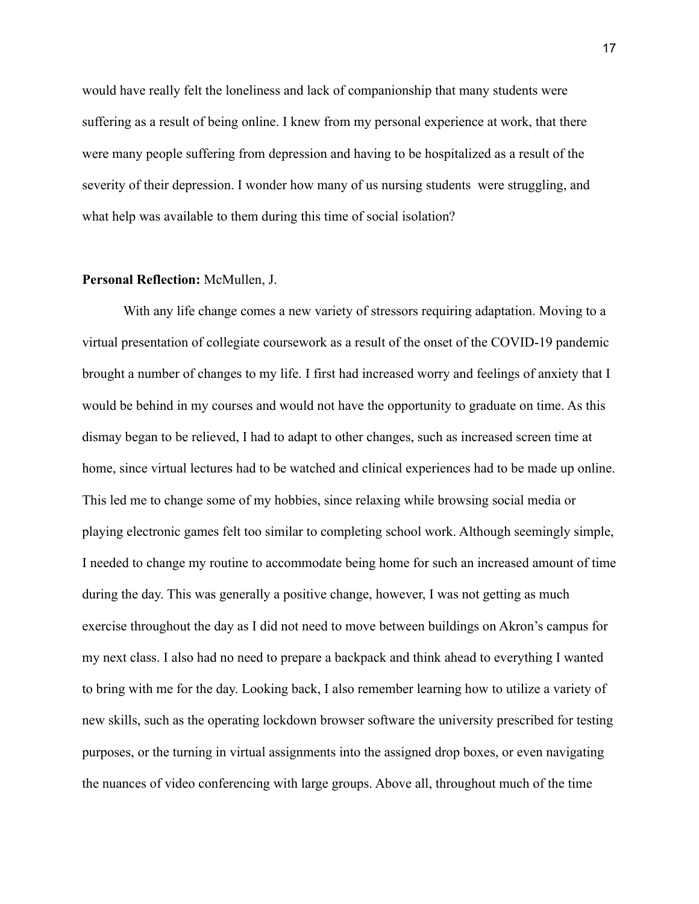would have really felt the loneliness and lack of companionship that many students were suffering as a result of being online. I knew from my personal experience at work, that there were many people suffering from depression and having to be hospitalized as a result of the severity of their depression. I wonder how many of us nursing students were struggling, and what help was available to them during this time of social isolation?

#### **Personal Reflection:** McMullen, J.

With any life change comes a new variety of stressors requiring adaptation. Moving to a virtual presentation of collegiate coursework as a result of the onset of the COVID-19 pandemic brought a number of changes to my life. I first had increased worry and feelings of anxiety that I would be behind in my courses and would not have the opportunity to graduate on time. As this dismay began to be relieved, I had to adapt to other changes, such as increased screen time at home, since virtual lectures had to be watched and clinical experiences had to be made up online. This led me to change some of my hobbies, since relaxing while browsing social media or playing electronic games felt too similar to completing school work. Although seemingly simple, I needed to change my routine to accommodate being home for such an increased amount of time during the day. This was generally a positive change, however, I was not getting as much exercise throughout the day as I did not need to move between buildings on Akron's campus for my next class. I also had no need to prepare a backpack and think ahead to everything I wanted to bring with me for the day. Looking back, I also remember learning how to utilize a variety of new skills, such as the operating lockdown browser software the university prescribed for testing purposes, or the turning in virtual assignments into the assigned drop boxes, or even navigating the nuances of video conferencing with large groups. Above all, throughout much of the time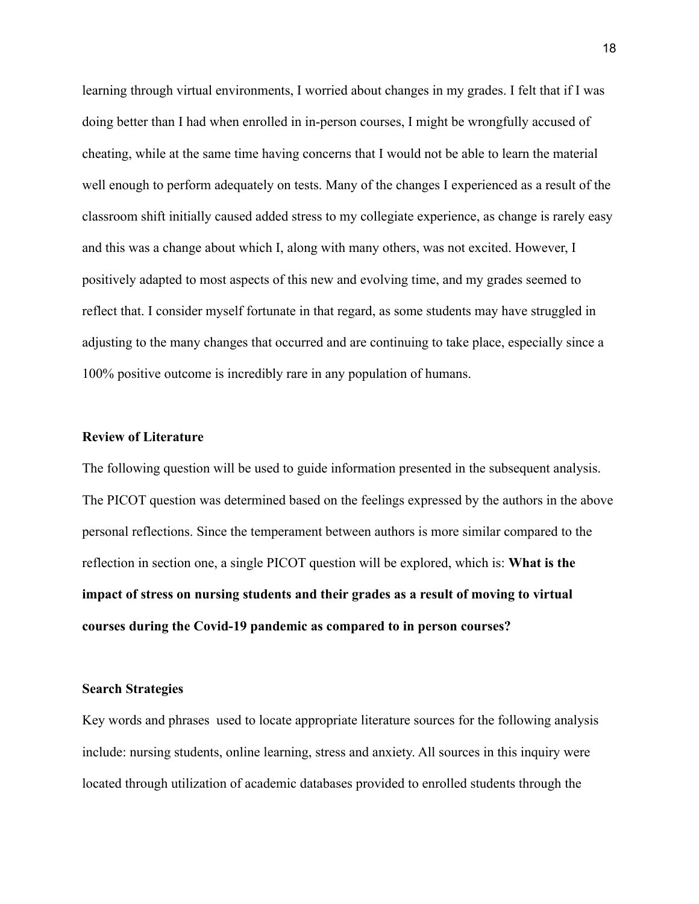learning through virtual environments, I worried about changes in my grades. I felt that if I was doing better than I had when enrolled in in-person courses, I might be wrongfully accused of cheating, while at the same time having concerns that I would not be able to learn the material well enough to perform adequately on tests. Many of the changes I experienced as a result of the classroom shift initially caused added stress to my collegiate experience, as change is rarely easy and this was a change about which I, along with many others, was not excited. However, I positively adapted to most aspects of this new and evolving time, and my grades seemed to reflect that. I consider myself fortunate in that regard, as some students may have struggled in adjusting to the many changes that occurred and are continuing to take place, especially since a 100% positive outcome is incredibly rare in any population of humans.

## **Review of Literature**

The following question will be used to guide information presented in the subsequent analysis. The PICOT question was determined based on the feelings expressed by the authors in the above personal reflections. Since the temperament between authors is more similar compared to the reflection in section one, a single PICOT question will be explored, which is: **What is the impact of stress on nursing students and their grades as a result of moving to virtual courses during the Covid-19 pandemic as compared to in person courses?**

#### **Search Strategies**

Key words and phrases used to locate appropriate literature sources for the following analysis include: nursing students, online learning, stress and anxiety. All sources in this inquiry were located through utilization of academic databases provided to enrolled students through the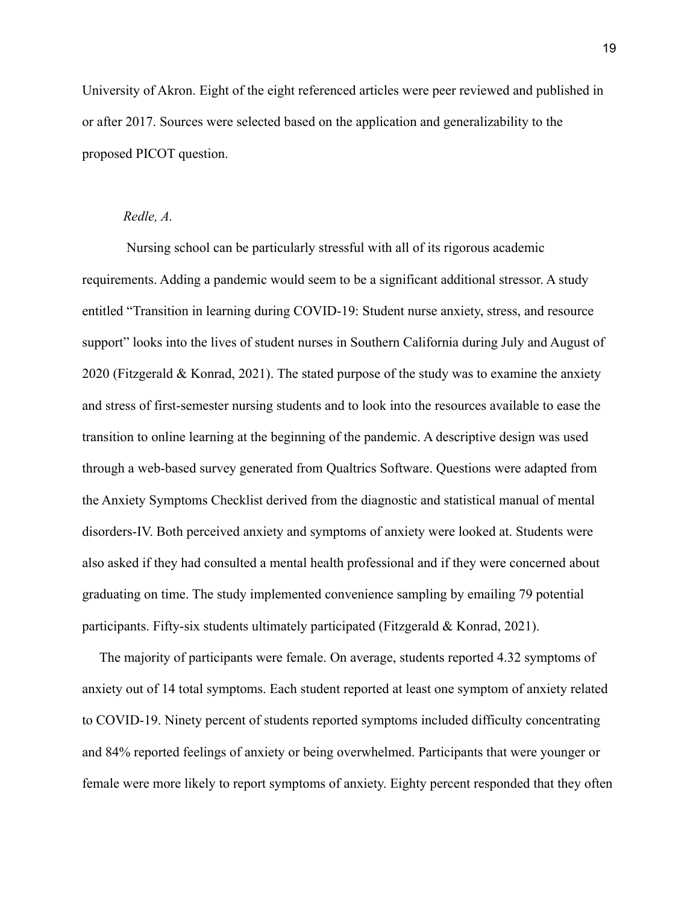University of Akron. Eight of the eight referenced articles were peer reviewed and published in or after 2017. Sources were selected based on the application and generalizability to the proposed PICOT question.

## *Redle, A.*

Nursing school can be particularly stressful with all of its rigorous academic requirements. Adding a pandemic would seem to be a significant additional stressor. A study entitled "Transition in learning during COVID-19: Student nurse anxiety, stress, and resource support" looks into the lives of student nurses in Southern California during July and August of 2020 (Fitzgerald & Konrad, 2021). The stated purpose of the study was to examine the anxiety and stress of first-semester nursing students and to look into the resources available to ease the transition to online learning at the beginning of the pandemic. A descriptive design was used through a web-based survey generated from Qualtrics Software. Questions were adapted from the Anxiety Symptoms Checklist derived from the diagnostic and statistical manual of mental disorders-IV. Both perceived anxiety and symptoms of anxiety were looked at. Students were also asked if they had consulted a mental health professional and if they were concerned about graduating on time. The study implemented convenience sampling by emailing 79 potential participants. Fifty-six students ultimately participated (Fitzgerald & Konrad, 2021).

The majority of participants were female. On average, students reported 4.32 symptoms of anxiety out of 14 total symptoms. Each student reported at least one symptom of anxiety related to COVID-19. Ninety percent of students reported symptoms included difficulty concentrating and 84% reported feelings of anxiety or being overwhelmed. Participants that were younger or female were more likely to report symptoms of anxiety. Eighty percent responded that they often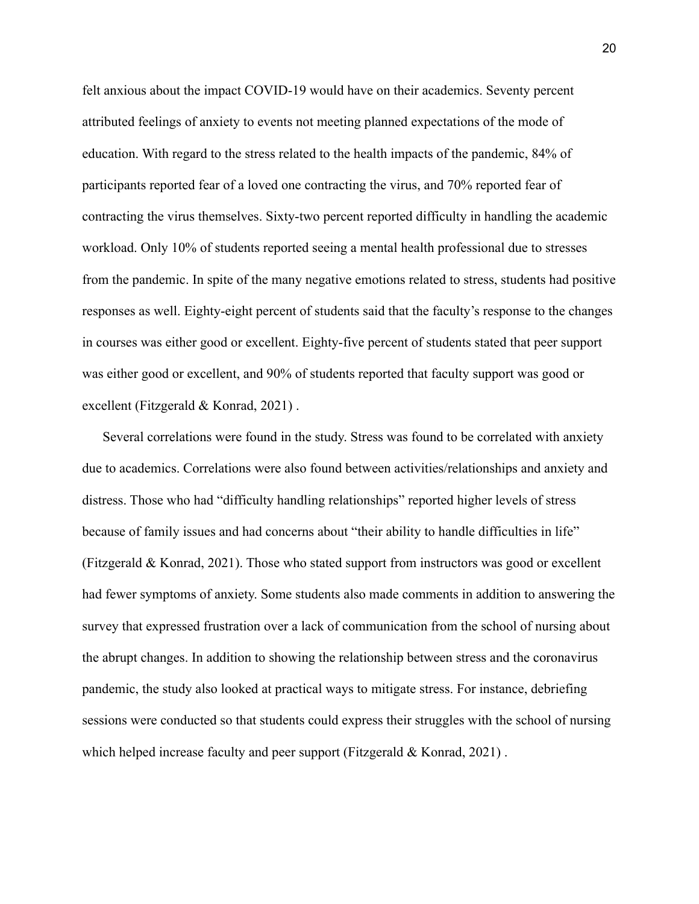felt anxious about the impact COVID-19 would have on their academics. Seventy percent attributed feelings of anxiety to events not meeting planned expectations of the mode of education. With regard to the stress related to the health impacts of the pandemic, 84% of participants reported fear of a loved one contracting the virus, and 70% reported fear of contracting the virus themselves. Sixty-two percent reported difficulty in handling the academic workload. Only 10% of students reported seeing a mental health professional due to stresses from the pandemic. In spite of the many negative emotions related to stress, students had positive responses as well. Eighty-eight percent of students said that the faculty's response to the changes in courses was either good or excellent. Eighty-five percent of students stated that peer support was either good or excellent, and 90% of students reported that faculty support was good or excellent (Fitzgerald & Konrad, 2021) .

Several correlations were found in the study. Stress was found to be correlated with anxiety due to academics. Correlations were also found between activities/relationships and anxiety and distress. Those who had "difficulty handling relationships" reported higher levels of stress because of family issues and had concerns about "their ability to handle difficulties in life" (Fitzgerald & Konrad, 2021). Those who stated support from instructors was good or excellent had fewer symptoms of anxiety. Some students also made comments in addition to answering the survey that expressed frustration over a lack of communication from the school of nursing about the abrupt changes. In addition to showing the relationship between stress and the coronavirus pandemic, the study also looked at practical ways to mitigate stress. For instance, debriefing sessions were conducted so that students could express their struggles with the school of nursing which helped increase faculty and peer support (Fitzgerald & Konrad, 2021).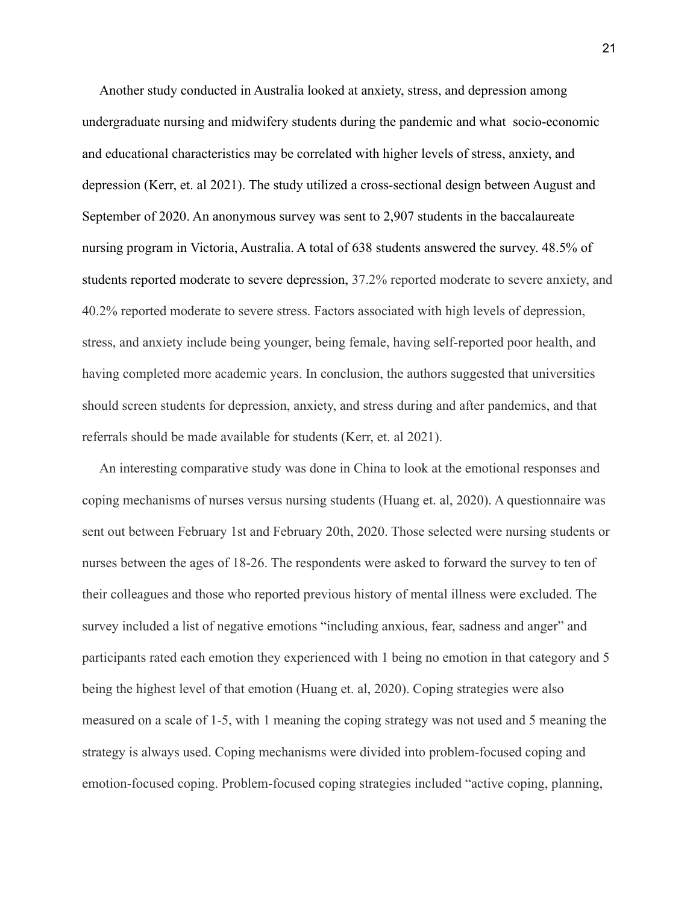Another study conducted in Australia looked at anxiety, stress, and depression among undergraduate nursing and midwifery students during the pandemic and what socio-economic and educational characteristics may be correlated with higher levels of stress, anxiety, and depression (Kerr, et. al 2021). The study utilized a cross-sectional design between August and September of 2020. An anonymous survey was sent to 2,907 students in the baccalaureate nursing program in Victoria, Australia. A total of 638 students answered the survey. 48.5% of students reported moderate to severe depression, 37.2% reported moderate to severe anxiety, and 40.2% reported moderate to severe stress. Factors associated with high levels of depression, stress, and anxiety include being younger, being female, having self-reported poor health, and having completed more academic years. In conclusion, the authors suggested that universities should screen students for depression, anxiety, and stress during and after pandemics, and that referrals should be made available for students (Kerr, et. al 2021).

An interesting comparative study was done in China to look at the emotional responses and coping mechanisms of nurses versus nursing students (Huang et. al, 2020). A questionnaire was sent out between February 1st and February 20th, 2020. Those selected were nursing students or nurses between the ages of 18-26. The respondents were asked to forward the survey to ten of their colleagues and those who reported previous history of mental illness were excluded. The survey included a list of negative emotions "including anxious, fear, sadness and anger" and participants rated each emotion they experienced with 1 being no emotion in that category and 5 being the highest level of that emotion (Huang et. al, 2020). Coping strategies were also measured on a scale of 1-5, with 1 meaning the coping strategy was not used and 5 meaning the strategy is always used. Coping mechanisms were divided into problem-focused coping and emotion-focused coping. Problem-focused coping strategies included "active coping, planning,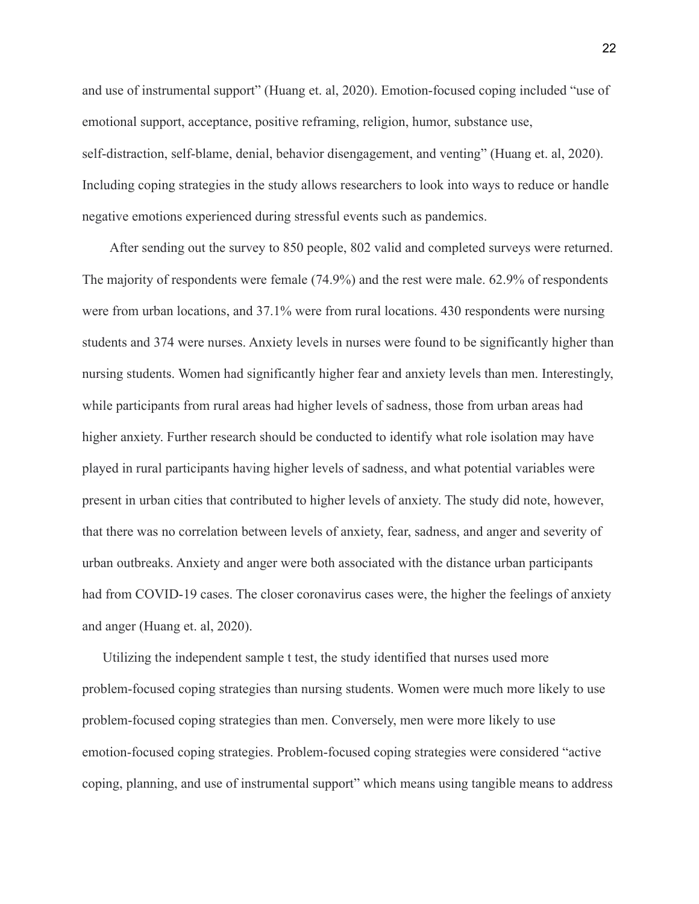and use of instrumental support" (Huang et. al, 2020). Emotion-focused coping included "use of emotional support, acceptance, positive reframing, religion, humor, substance use, self-distraction, self-blame, denial, behavior disengagement, and venting" (Huang et. al, 2020). Including coping strategies in the study allows researchers to look into ways to reduce or handle negative emotions experienced during stressful events such as pandemics.

After sending out the survey to 850 people, 802 valid and completed surveys were returned. The majority of respondents were female (74.9%) and the rest were male. 62.9% of respondents were from urban locations, and 37.1% were from rural locations. 430 respondents were nursing students and 374 were nurses. Anxiety levels in nurses were found to be significantly higher than nursing students. Women had significantly higher fear and anxiety levels than men. Interestingly, while participants from rural areas had higher levels of sadness, those from urban areas had higher anxiety. Further research should be conducted to identify what role isolation may have played in rural participants having higher levels of sadness, and what potential variables were present in urban cities that contributed to higher levels of anxiety. The study did note, however, that there was no correlation between levels of anxiety, fear, sadness, and anger and severity of urban outbreaks. Anxiety and anger were both associated with the distance urban participants had from COVID-19 cases. The closer coronavirus cases were, the higher the feelings of anxiety and anger (Huang et. al, 2020).

Utilizing the independent sample t test, the study identified that nurses used more problem-focused coping strategies than nursing students. Women were much more likely to use problem-focused coping strategies than men. Conversely, men were more likely to use emotion-focused coping strategies. Problem-focused coping strategies were considered "active coping, planning, and use of instrumental support" which means using tangible means to address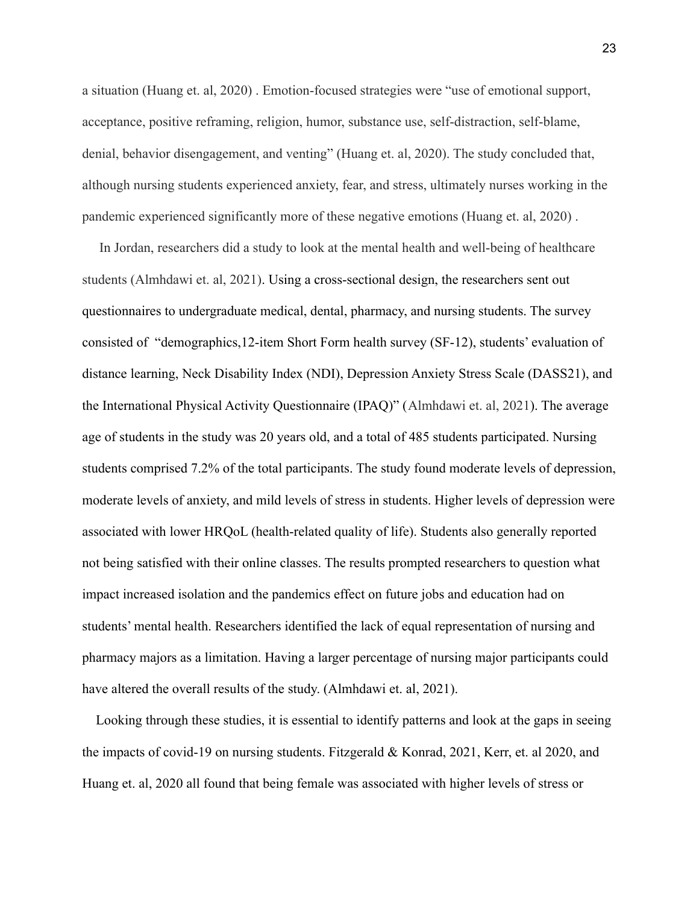a situation (Huang et. al, 2020) . Emotion-focused strategies were "use of emotional support, acceptance, positive reframing, religion, humor, substance use, self-distraction, self-blame, denial, behavior disengagement, and venting" (Huang et. al, 2020). The study concluded that, although nursing students experienced anxiety, fear, and stress, ultimately nurses working in the pandemic experienced significantly more of these negative emotions (Huang et. al, 2020) .

In Jordan, researchers did a study to look at the mental health and well-being of healthcare students (Almhdawi et. al, 2021). Using a cross-sectional design, the researchers sent out questionnaires to undergraduate medical, dental, pharmacy, and nursing students. The survey consisted of "demographics,12-item Short Form health survey (SF-12), students' evaluation of distance learning, Neck Disability Index (NDI), Depression Anxiety Stress Scale (DASS21), and the International Physical Activity Questionnaire (IPAQ)" (Almhdawi et. al, 2021). The average age of students in the study was 20 years old, and a total of 485 students participated. Nursing students comprised 7.2% of the total participants. The study found moderate levels of depression, moderate levels of anxiety, and mild levels of stress in students. Higher levels of depression were associated with lower HRQoL (health-related quality of life). Students also generally reported not being satisfied with their online classes. The results prompted researchers to question what impact increased isolation and the pandemics effect on future jobs and education had on students' mental health. Researchers identified the lack of equal representation of nursing and pharmacy majors as a limitation. Having a larger percentage of nursing major participants could have altered the overall results of the study. (Almhdawi et. al, 2021).

Looking through these studies, it is essential to identify patterns and look at the gaps in seeing the impacts of covid-19 on nursing students. Fitzgerald & Konrad, 2021, Kerr, et. al 2020, and Huang et. al, 2020 all found that being female was associated with higher levels of stress or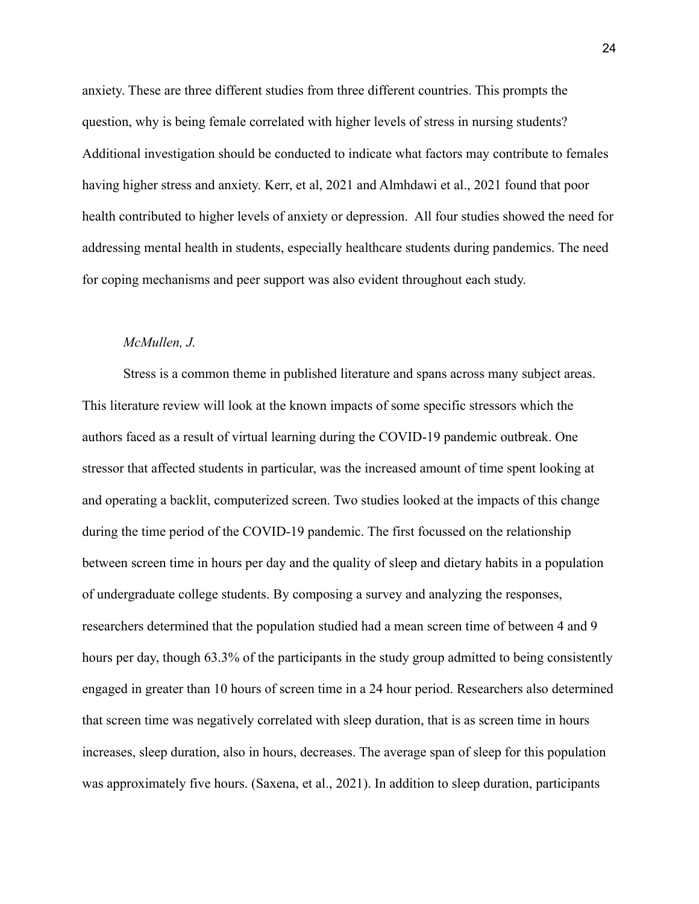anxiety. These are three different studies from three different countries. This prompts the question, why is being female correlated with higher levels of stress in nursing students? Additional investigation should be conducted to indicate what factors may contribute to females having higher stress and anxiety. Kerr, et al, 2021 and Almhdawi et al., 2021 found that poor health contributed to higher levels of anxiety or depression. All four studies showed the need for addressing mental health in students, especially healthcare students during pandemics. The need for coping mechanisms and peer support was also evident throughout each study.

#### *McMullen, J.*

Stress is a common theme in published literature and spans across many subject areas. This literature review will look at the known impacts of some specific stressors which the authors faced as a result of virtual learning during the COVID-19 pandemic outbreak. One stressor that affected students in particular, was the increased amount of time spent looking at and operating a backlit, computerized screen. Two studies looked at the impacts of this change during the time period of the COVID-19 pandemic. The first focussed on the relationship between screen time in hours per day and the quality of sleep and dietary habits in a population of undergraduate college students. By composing a survey and analyzing the responses, researchers determined that the population studied had a mean screen time of between 4 and 9 hours per day, though 63.3% of the participants in the study group admitted to being consistently engaged in greater than 10 hours of screen time in a 24 hour period. Researchers also determined that screen time was negatively correlated with sleep duration, that is as screen time in hours increases, sleep duration, also in hours, decreases. The average span of sleep for this population was approximately five hours. (Saxena, et al., 2021). In addition to sleep duration, participants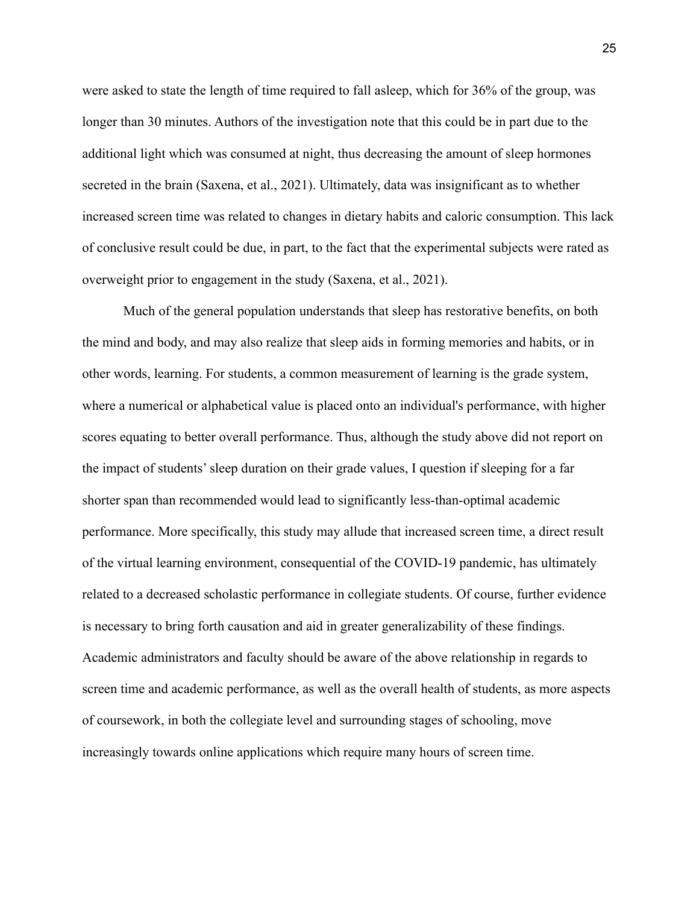were asked to state the length of time required to fall asleep, which for 36% of the group, was longer than 30 minutes. Authors of the investigation note that this could be in part due to the additional light which was consumed at night, thus decreasing the amount of sleep hormones secreted in the brain (Saxena, et al., 2021). Ultimately, data was insignificant as to whether increased screen time was related to changes in dietary habits and caloric consumption. This lack of conclusive result could be due, in part, to the fact that the experimental subjects were rated as overweight prior to engagement in the study (Saxena, et al., 2021).

Much of the general population understands that sleep has restorative benefits, on both the mind and body, and may also realize that sleep aids in forming memories and habits, or in other words, learning. For students, a common measurement of learning is the grade system, where a numerical or alphabetical value is placed onto an individual's performance, with higher scores equating to better overall performance. Thus, although the study above did not report on the impact of students' sleep duration on their grade values, I question if sleeping for a far shorter span than recommended would lead to significantly less-than-optimal academic performance. More specifically, this study may allude that increased screen time, a direct result of the virtual learning environment, consequential of the COVID-19 pandemic, has ultimately related to a decreased scholastic performance in collegiate students. Of course, further evidence is necessary to bring forth causation and aid in greater generalizability of these findings. Academic administrators and faculty should be aware of the above relationship in regards to screen time and academic performance, as well as the overall health of students, as more aspects of coursework, in both the collegiate level and surrounding stages of schooling, move increasingly towards online applications which require many hours of screen time.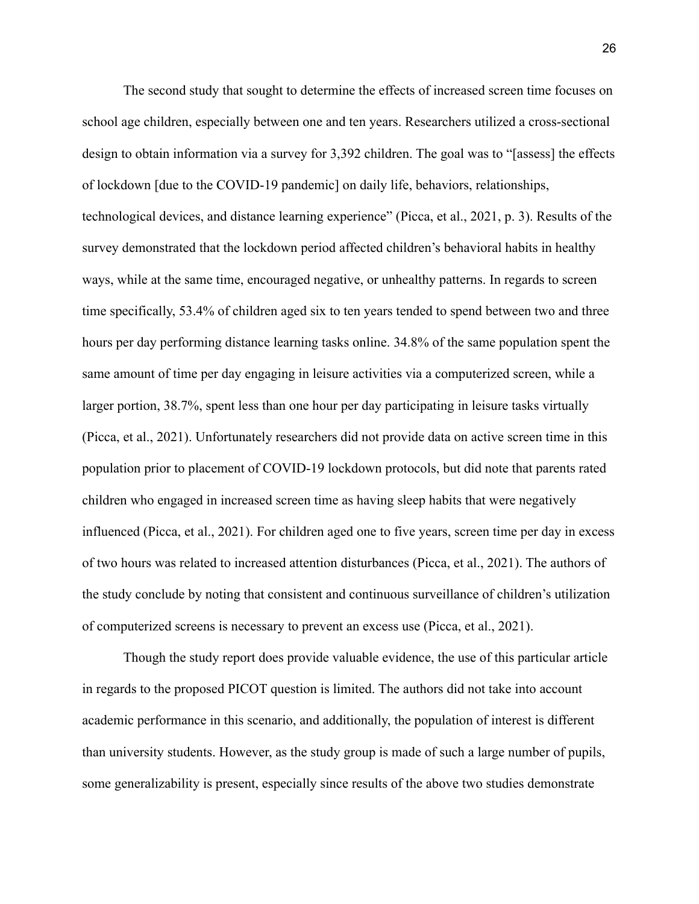The second study that sought to determine the effects of increased screen time focuses on school age children, especially between one and ten years. Researchers utilized a cross-sectional design to obtain information via a survey for 3,392 children. The goal was to "[assess] the effects of lockdown [due to the COVID-19 pandemic] on daily life, behaviors, relationships, technological devices, and distance learning experience" (Picca, et al., 2021, p. 3). Results of the survey demonstrated that the lockdown period affected children's behavioral habits in healthy ways, while at the same time, encouraged negative, or unhealthy patterns. In regards to screen time specifically, 53.4% of children aged six to ten years tended to spend between two and three hours per day performing distance learning tasks online. 34.8% of the same population spent the same amount of time per day engaging in leisure activities via a computerized screen, while a larger portion, 38.7%, spent less than one hour per day participating in leisure tasks virtually (Picca, et al., 2021). Unfortunately researchers did not provide data on active screen time in this population prior to placement of COVID-19 lockdown protocols, but did note that parents rated children who engaged in increased screen time as having sleep habits that were negatively influenced (Picca, et al., 2021). For children aged one to five years, screen time per day in excess of two hours was related to increased attention disturbances (Picca, et al., 2021). The authors of the study conclude by noting that consistent and continuous surveillance of children's utilization of computerized screens is necessary to prevent an excess use (Picca, et al., 2021).

Though the study report does provide valuable evidence, the use of this particular article in regards to the proposed PICOT question is limited. The authors did not take into account academic performance in this scenario, and additionally, the population of interest is different than university students. However, as the study group is made of such a large number of pupils, some generalizability is present, especially since results of the above two studies demonstrate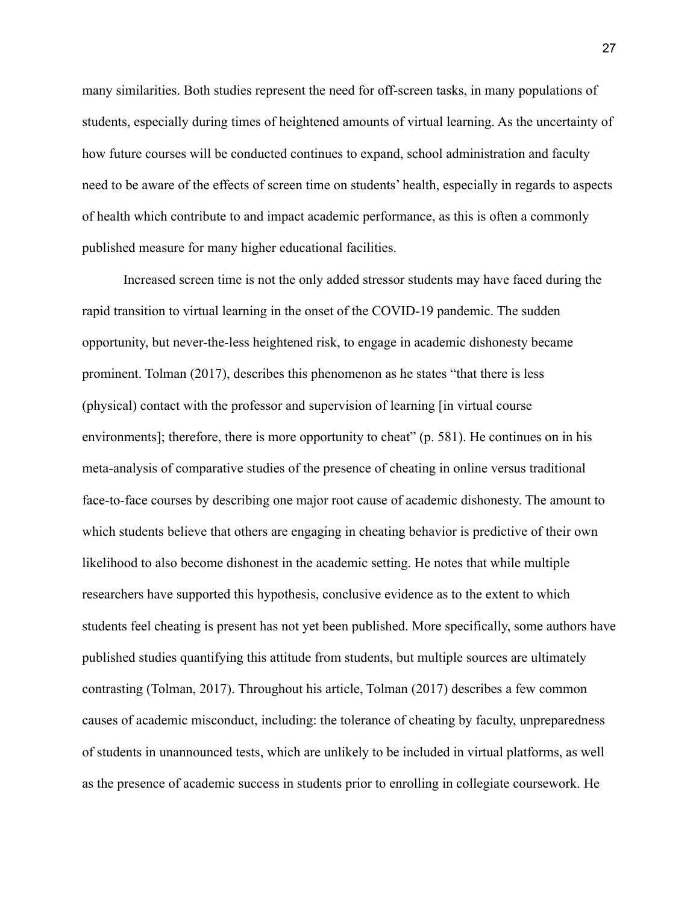many similarities. Both studies represent the need for off-screen tasks, in many populations of students, especially during times of heightened amounts of virtual learning. As the uncertainty of how future courses will be conducted continues to expand, school administration and faculty need to be aware of the effects of screen time on students' health, especially in regards to aspects of health which contribute to and impact academic performance, as this is often a commonly published measure for many higher educational facilities.

Increased screen time is not the only added stressor students may have faced during the rapid transition to virtual learning in the onset of the COVID-19 pandemic. The sudden opportunity, but never-the-less heightened risk, to engage in academic dishonesty became prominent. Tolman (2017), describes this phenomenon as he states "that there is less (physical) contact with the professor and supervision of learning [in virtual course environments]; therefore, there is more opportunity to cheat" (p. 581). He continues on in his meta-analysis of comparative studies of the presence of cheating in online versus traditional face-to-face courses by describing one major root cause of academic dishonesty. The amount to which students believe that others are engaging in cheating behavior is predictive of their own likelihood to also become dishonest in the academic setting. He notes that while multiple researchers have supported this hypothesis, conclusive evidence as to the extent to which students feel cheating is present has not yet been published. More specifically, some authors have published studies quantifying this attitude from students, but multiple sources are ultimately contrasting (Tolman, 2017). Throughout his article, Tolman (2017) describes a few common causes of academic misconduct, including: the tolerance of cheating by faculty, unpreparedness of students in unannounced tests, which are unlikely to be included in virtual platforms, as well as the presence of academic success in students prior to enrolling in collegiate coursework. He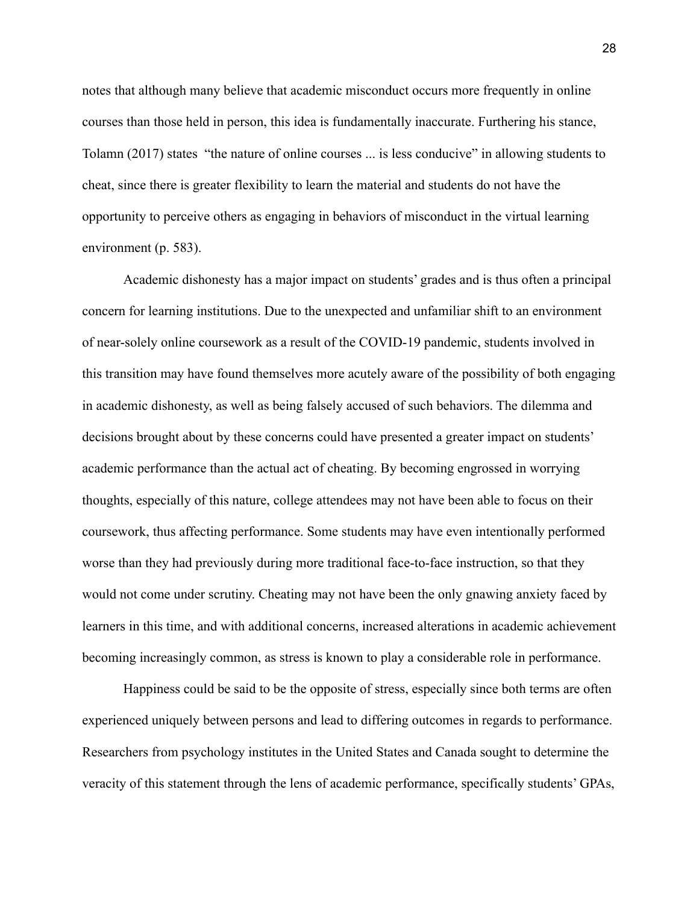notes that although many believe that academic misconduct occurs more frequently in online courses than those held in person, this idea is fundamentally inaccurate. Furthering his stance, Tolamn (2017) states "the nature of online courses ... is less conducive" in allowing students to cheat, since there is greater flexibility to learn the material and students do not have the opportunity to perceive others as engaging in behaviors of misconduct in the virtual learning environment (p. 583).

Academic dishonesty has a major impact on students' grades and is thus often a principal concern for learning institutions. Due to the unexpected and unfamiliar shift to an environment of near-solely online coursework as a result of the COVID-19 pandemic, students involved in this transition may have found themselves more acutely aware of the possibility of both engaging in academic dishonesty, as well as being falsely accused of such behaviors. The dilemma and decisions brought about by these concerns could have presented a greater impact on students' academic performance than the actual act of cheating. By becoming engrossed in worrying thoughts, especially of this nature, college attendees may not have been able to focus on their coursework, thus affecting performance. Some students may have even intentionally performed worse than they had previously during more traditional face-to-face instruction, so that they would not come under scrutiny. Cheating may not have been the only gnawing anxiety faced by learners in this time, and with additional concerns, increased alterations in academic achievement becoming increasingly common, as stress is known to play a considerable role in performance.

Happiness could be said to be the opposite of stress, especially since both terms are often experienced uniquely between persons and lead to differing outcomes in regards to performance. Researchers from psychology institutes in the United States and Canada sought to determine the veracity of this statement through the lens of academic performance, specifically students' GPAs,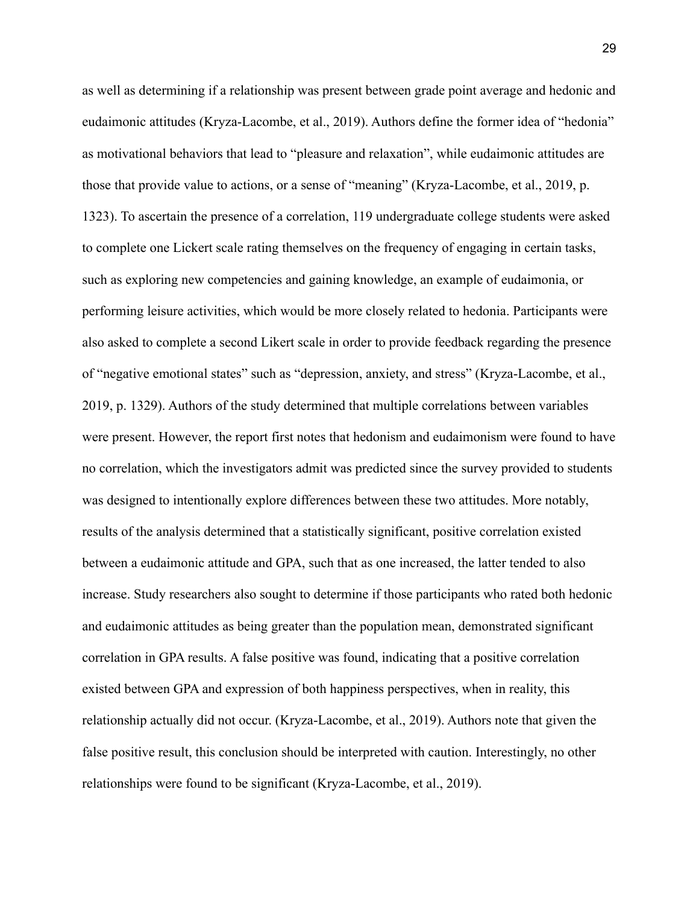as well as determining if a relationship was present between grade point average and hedonic and eudaimonic attitudes (Kryza-Lacombe, et al., 2019). Authors define the former idea of "hedonia" as motivational behaviors that lead to "pleasure and relaxation", while eudaimonic attitudes are those that provide value to actions, or a sense of "meaning" (Kryza-Lacombe, et al., 2019, p. 1323). To ascertain the presence of a correlation, 119 undergraduate college students were asked to complete one Lickert scale rating themselves on the frequency of engaging in certain tasks, such as exploring new competencies and gaining knowledge, an example of eudaimonia, or performing leisure activities, which would be more closely related to hedonia. Participants were also asked to complete a second Likert scale in order to provide feedback regarding the presence of "negative emotional states" such as "depression, anxiety, and stress" (Kryza-Lacombe, et al., 2019, p. 1329). Authors of the study determined that multiple correlations between variables were present. However, the report first notes that hedonism and eudaimonism were found to have no correlation, which the investigators admit was predicted since the survey provided to students was designed to intentionally explore differences between these two attitudes. More notably, results of the analysis determined that a statistically significant, positive correlation existed between a eudaimonic attitude and GPA, such that as one increased, the latter tended to also increase. Study researchers also sought to determine if those participants who rated both hedonic and eudaimonic attitudes as being greater than the population mean, demonstrated significant correlation in GPA results. A false positive was found, indicating that a positive correlation existed between GPA and expression of both happiness perspectives, when in reality, this relationship actually did not occur. (Kryza-Lacombe, et al., 2019). Authors note that given the false positive result, this conclusion should be interpreted with caution. Interestingly, no other relationships were found to be significant (Kryza-Lacombe, et al., 2019).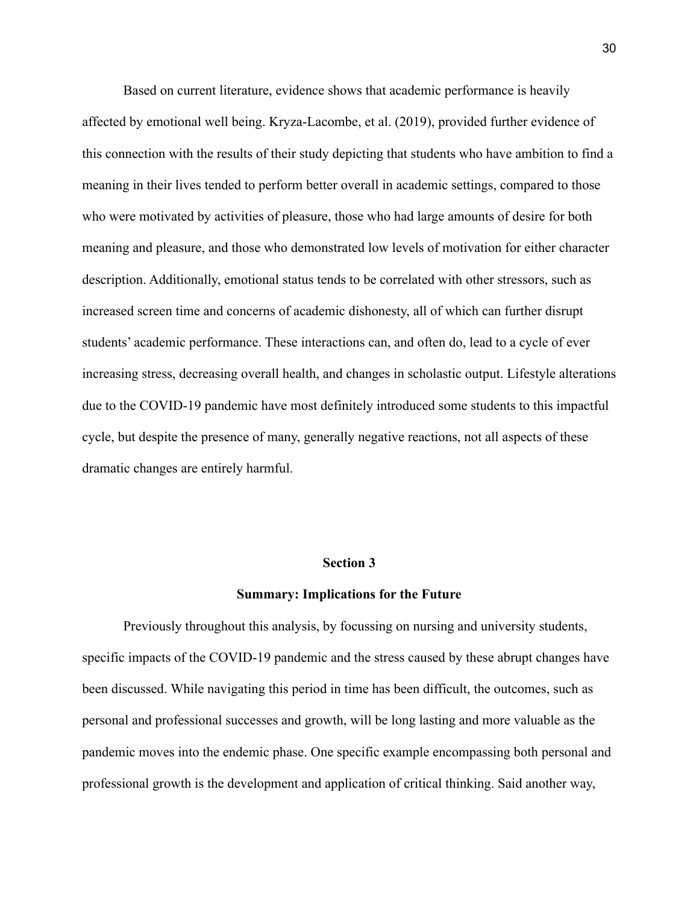Based on current literature, evidence shows that academic performance is heavily affected by emotional well being. Kryza-Lacombe, et al. (2019), provided further evidence of this connection with the results of their study depicting that students who have ambition to find a meaning in their lives tended to perform better overall in academic settings, compared to those who were motivated by activities of pleasure, those who had large amounts of desire for both meaning and pleasure, and those who demonstrated low levels of motivation for either character description. Additionally, emotional status tends to be correlated with other stressors, such as increased screen time and concerns of academic dishonesty, all of which can further disrupt students' academic performance. These interactions can, and often do, lead to a cycle of ever increasing stress, decreasing overall health, and changes in scholastic output. Lifestyle alterations due to the COVID-19 pandemic have most definitely introduced some students to this impactful cycle, but despite the presence of many, generally negative reactions, not all aspects of these dramatic changes are entirely harmful.

#### **Section 3**

#### **Summary: Implications for the Future**

Previously throughout this analysis, by focussing on nursing and university students, specific impacts of the COVID-19 pandemic and the stress caused by these abrupt changes have been discussed. While navigating this period in time has been difficult, the outcomes, such as personal and professional successes and growth, will be long lasting and more valuable as the pandemic moves into the endemic phase. One specific example encompassing both personal and professional growth is the development and application of critical thinking. Said another way,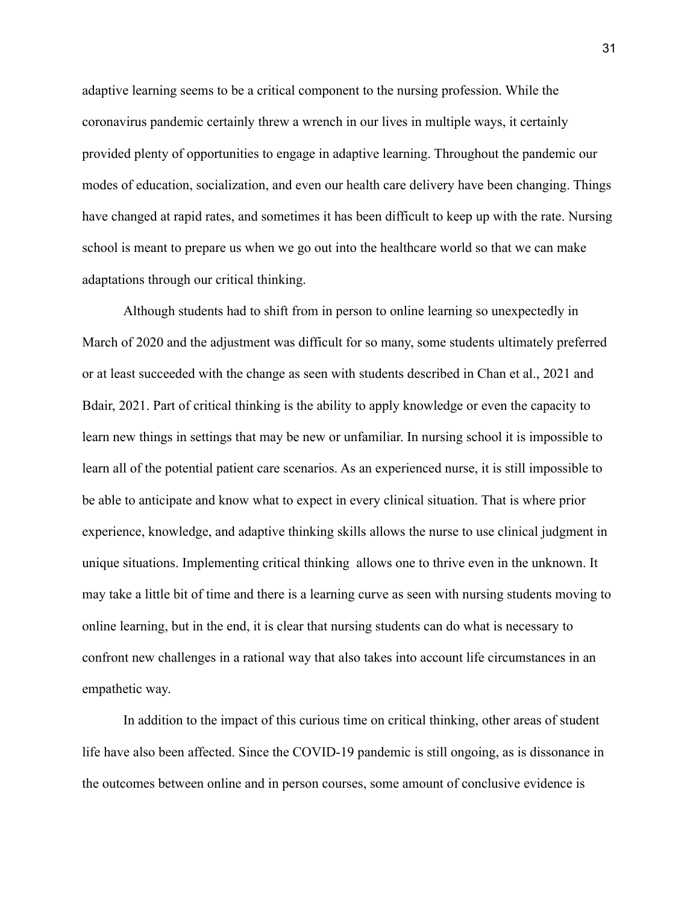adaptive learning seems to be a critical component to the nursing profession. While the coronavirus pandemic certainly threw a wrench in our lives in multiple ways, it certainly provided plenty of opportunities to engage in adaptive learning. Throughout the pandemic our modes of education, socialization, and even our health care delivery have been changing. Things have changed at rapid rates, and sometimes it has been difficult to keep up with the rate. Nursing school is meant to prepare us when we go out into the healthcare world so that we can make adaptations through our critical thinking.

Although students had to shift from in person to online learning so unexpectedly in March of 2020 and the adjustment was difficult for so many, some students ultimately preferred or at least succeeded with the change as seen with students described in Chan et al., 2021 and Bdair, 2021. Part of critical thinking is the ability to apply knowledge or even the capacity to learn new things in settings that may be new or unfamiliar. In nursing school it is impossible to learn all of the potential patient care scenarios. As an experienced nurse, it is still impossible to be able to anticipate and know what to expect in every clinical situation. That is where prior experience, knowledge, and adaptive thinking skills allows the nurse to use clinical judgment in unique situations. Implementing critical thinking allows one to thrive even in the unknown. It may take a little bit of time and there is a learning curve as seen with nursing students moving to online learning, but in the end, it is clear that nursing students can do what is necessary to confront new challenges in a rational way that also takes into account life circumstances in an empathetic way.

In addition to the impact of this curious time on critical thinking, other areas of student life have also been affected. Since the COVID-19 pandemic is still ongoing, as is dissonance in the outcomes between online and in person courses, some amount of conclusive evidence is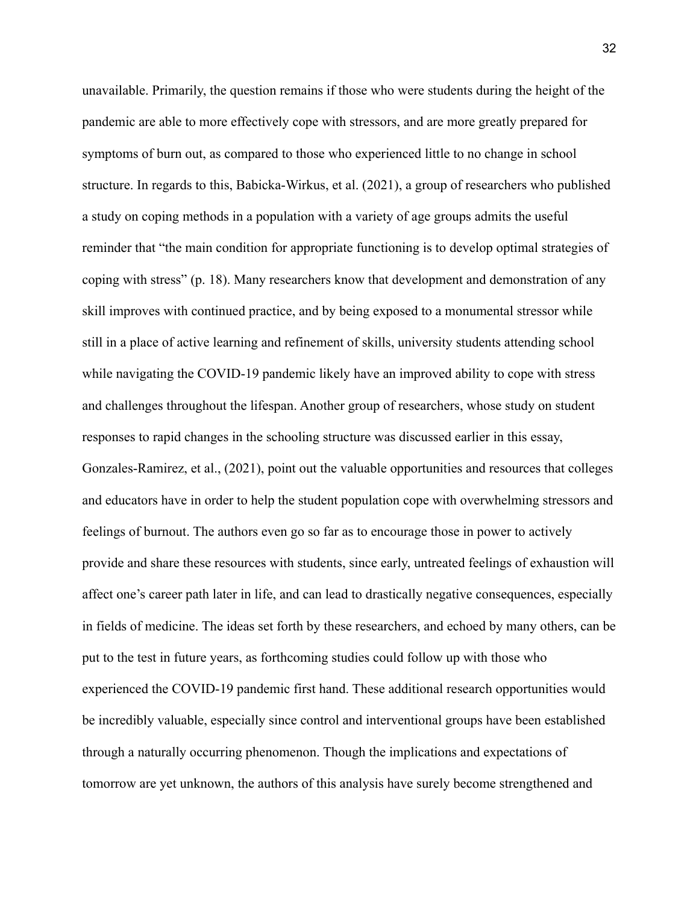unavailable. Primarily, the question remains if those who were students during the height of the pandemic are able to more effectively cope with stressors, and are more greatly prepared for symptoms of burn out, as compared to those who experienced little to no change in school structure. In regards to this, Babicka-Wirkus, et al. (2021), a group of researchers who published a study on coping methods in a population with a variety of age groups admits the useful reminder that "the main condition for appropriate functioning is to develop optimal strategies of coping with stress" (p. 18). Many researchers know that development and demonstration of any skill improves with continued practice, and by being exposed to a monumental stressor while still in a place of active learning and refinement of skills, university students attending school while navigating the COVID-19 pandemic likely have an improved ability to cope with stress and challenges throughout the lifespan. Another group of researchers, whose study on student responses to rapid changes in the schooling structure was discussed earlier in this essay, Gonzales-Ramirez, et al., (2021), point out the valuable opportunities and resources that colleges and educators have in order to help the student population cope with overwhelming stressors and feelings of burnout. The authors even go so far as to encourage those in power to actively provide and share these resources with students, since early, untreated feelings of exhaustion will affect one's career path later in life, and can lead to drastically negative consequences, especially in fields of medicine. The ideas set forth by these researchers, and echoed by many others, can be put to the test in future years, as forthcoming studies could follow up with those who experienced the COVID-19 pandemic first hand. These additional research opportunities would be incredibly valuable, especially since control and interventional groups have been established through a naturally occurring phenomenon. Though the implications and expectations of tomorrow are yet unknown, the authors of this analysis have surely become strengthened and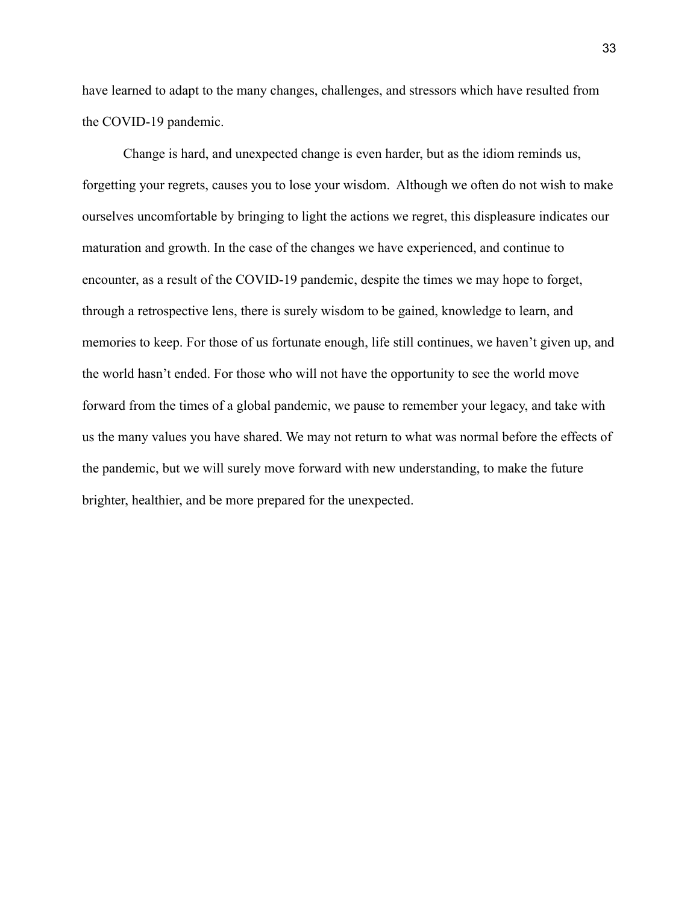have learned to adapt to the many changes, challenges, and stressors which have resulted from the COVID-19 pandemic.

Change is hard, and unexpected change is even harder, but as the idiom reminds us, forgetting your regrets, causes you to lose your wisdom. Although we often do not wish to make ourselves uncomfortable by bringing to light the actions we regret, this displeasure indicates our maturation and growth. In the case of the changes we have experienced, and continue to encounter, as a result of the COVID-19 pandemic, despite the times we may hope to forget, through a retrospective lens, there is surely wisdom to be gained, knowledge to learn, and memories to keep. For those of us fortunate enough, life still continues, we haven't given up, and the world hasn't ended. For those who will not have the opportunity to see the world move forward from the times of a global pandemic, we pause to remember your legacy, and take with us the many values you have shared. We may not return to what was normal before the effects of the pandemic, but we will surely move forward with new understanding, to make the future brighter, healthier, and be more prepared for the unexpected.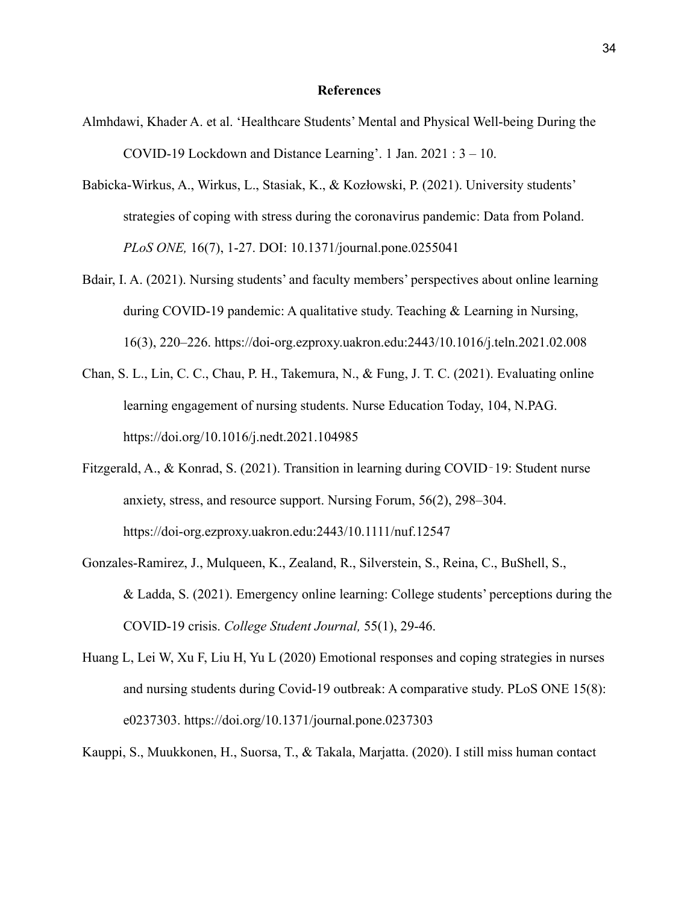#### **References**

- Almhdawi, Khader A. et al. 'Healthcare Students' Mental and Physical Well-being During the COVID-19 Lockdown and Distance Learning'. 1 Jan. 2021 : 3 – 10.
- Babicka-Wirkus, A., Wirkus, L., Stasiak, K., & Kozłowski, P. (2021). University students' strategies of coping with stress during the coronavirus pandemic: Data from Poland. *PLoS ONE,* 16(7), 1-27. DOI: 10.1371/journal.pone.0255041
- Bdair, I. A. (2021). Nursing students' and faculty members' perspectives about online learning during COVID-19 pandemic: A qualitative study. Teaching & Learning in Nursing, 16(3), 220–226. https://doi-org.ezproxy.uakron.edu:2443/10.1016/j.teln.2021.02.008
- Chan, S. L., Lin, C. C., Chau, P. H., Takemura, N., & Fung, J. T. C. (2021). Evaluating online learning engagement of nursing students. Nurse Education Today, 104, N.PAG. https://doi.org/10.1016/j.nedt.2021.104985
- Fitzgerald, A., & Konrad, S. (2021). Transition in learning during COVID‐19: Student nurse anxiety, stress, and resource support. Nursing Forum, 56(2), 298–304. https://doi-org.ezproxy.uakron.edu:2443/10.1111/nuf.12547
- Gonzales-Ramirez, J., Mulqueen, K., Zealand, R., Silverstein, S., Reina, C., BuShell, S., & Ladda, S. (2021). Emergency online learning: College students' perceptions during the COVID-19 crisis. *College Student Journal,* 55(1), 29-46.
- Huang L, Lei W, Xu F, Liu H, Yu L (2020) Emotional responses and coping strategies in nurses and nursing students during Covid-19 outbreak: A comparative study. PLoS ONE 15(8): e0237303. https://doi.org/10.1371/journal.pone.0237303

Kauppi, S., Muukkonen, H., Suorsa, T., & Takala, Marjatta. (2020). I still miss human contact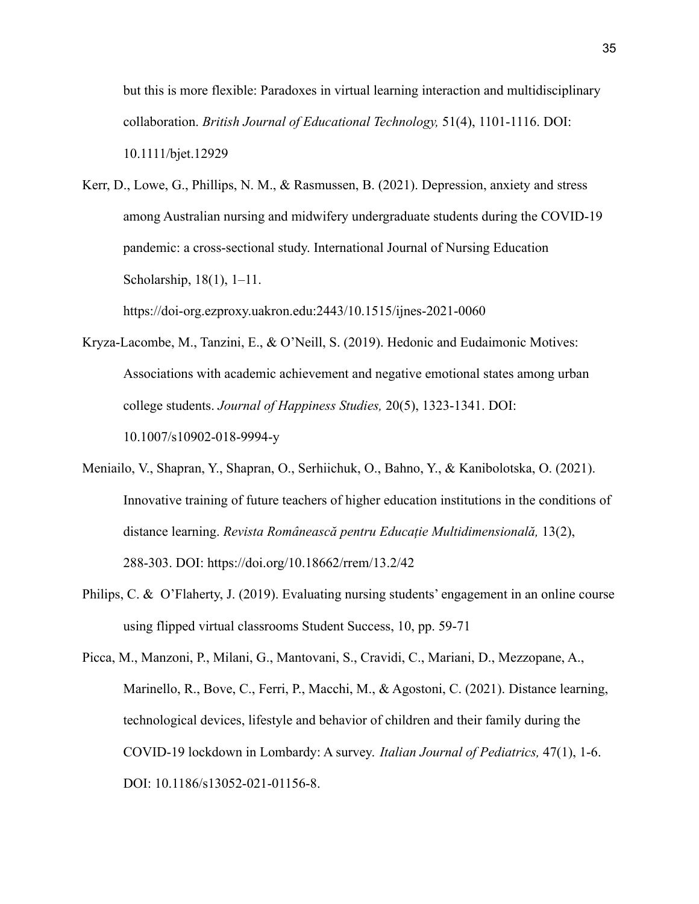but this is more flexible: Paradoxes in virtual learning interaction and multidisciplinary collaboration. *British Journal of Educational Technology,* 51(4), 1101-1116. DOI: 10.1111/bjet.12929

Kerr, D., Lowe, G., Phillips, N. M., & Rasmussen, B. (2021). Depression, anxiety and stress among Australian nursing and midwifery undergraduate students during the COVID-19 pandemic: a cross-sectional study. International Journal of Nursing Education Scholarship, 18(1), 1–11.

https://doi-org.ezproxy.uakron.edu:2443/10.1515/ijnes-2021-0060

- Kryza-Lacombe, M., Tanzini, E., & O'Neill, S. (2019). Hedonic and Eudaimonic Motives: Associations with academic achievement and negative emotional states among urban college students. *Journal of Happiness Studies,* 20(5), 1323-1341. DOI: 10.1007/s10902-018-9994-y
- Meniailo, V., Shapran, Y., Shapran, O., Serhiichuk, O., Bahno, Y., & Kanibolotska, O. (2021). Innovative training of future teachers of higher education institutions in the conditions of distance learning. *Revista Românească pentru Educație Multidimensională,* 13(2), 288-303. DOI: https://doi.org/10.18662/rrem/13.2/42
- Philips, C. & O'Flaherty, J. (2019). Evaluating nursing students' engagement in an online course using flipped virtual classrooms Student Success, 10, pp. 59-71
- Picca, M., Manzoni, P., Milani, G., Mantovani, S., Cravidi, C., Mariani, D., Mezzopane, A., Marinello, R., Bove, C., Ferri, P., Macchi, M., & Agostoni, C. (2021). Distance learning, technological devices, lifestyle and behavior of children and their family during the COVID-19 lockdown in Lombardy: A survey. *Italian Journal of Pediatrics,* 47(1), 1-6. DOI: 10.1186/s13052-021-01156-8.